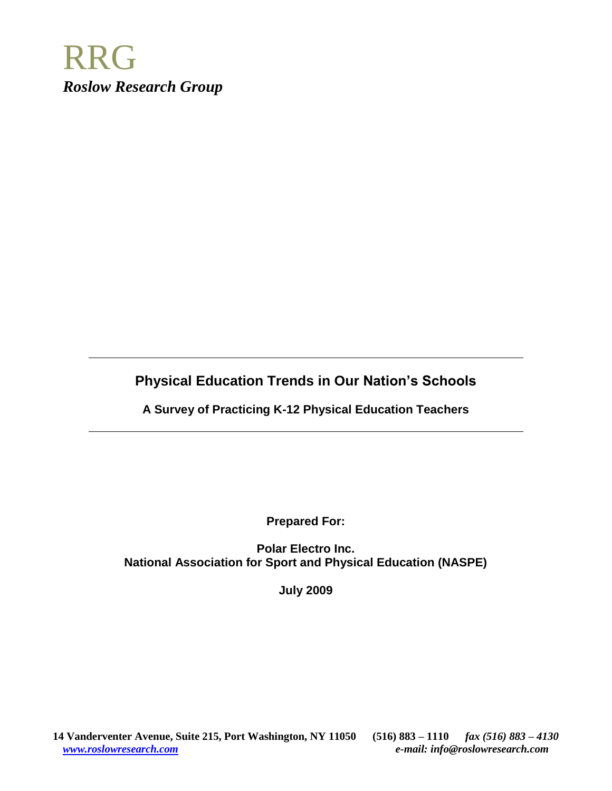

# **Physical Education Trends in Our Nation's Schools**

**A Survey of Practicing K-12 Physical Education Teachers**

**Prepared For:**

**Polar Electro Inc. National Association for Sport and Physical Education (NASPE)**

**July 2009**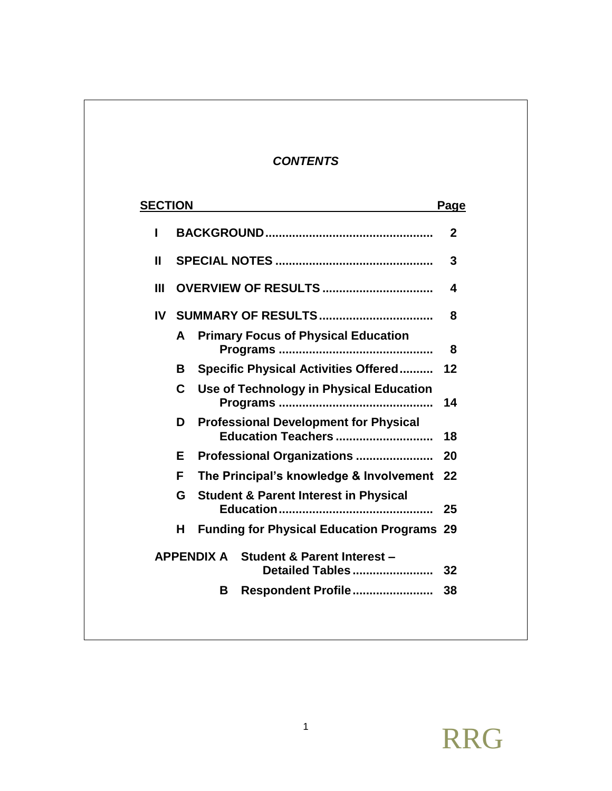## *CONTENTS*

| <b>SECTION</b> |   |                   |                                                                    | Page |
|----------------|---|-------------------|--------------------------------------------------------------------|------|
| ш              |   |                   |                                                                    | 2    |
| Ш              |   |                   |                                                                    | 3    |
| Ш              |   |                   |                                                                    | 4    |
| IV             |   |                   |                                                                    | 8    |
|                | A |                   | <b>Primary Focus of Physical Education</b>                         | 8    |
|                | В |                   | <b>Specific Physical Activities Offered</b>                        | 12   |
|                | C |                   | Use of Technology in Physical Education                            | 14   |
|                | D |                   | <b>Professional Development for Physical</b><br>Education Teachers | 18   |
|                | Е |                   | Professional Organizations                                         | 20   |
|                | F |                   | The Principal's knowledge & Involvement                            | 22   |
|                | G |                   | <b>Student &amp; Parent Interest in Physical</b>                   | 25   |
|                | н |                   | <b>Funding for Physical Education Programs 29</b>                  |      |
|                |   | <b>APPENDIX A</b> | <b>Student &amp; Parent Interest -</b><br>Detailed Tables          | 32   |
|                |   | В                 | Respondent Profile                                                 | 38   |
|                |   |                   |                                                                    |      |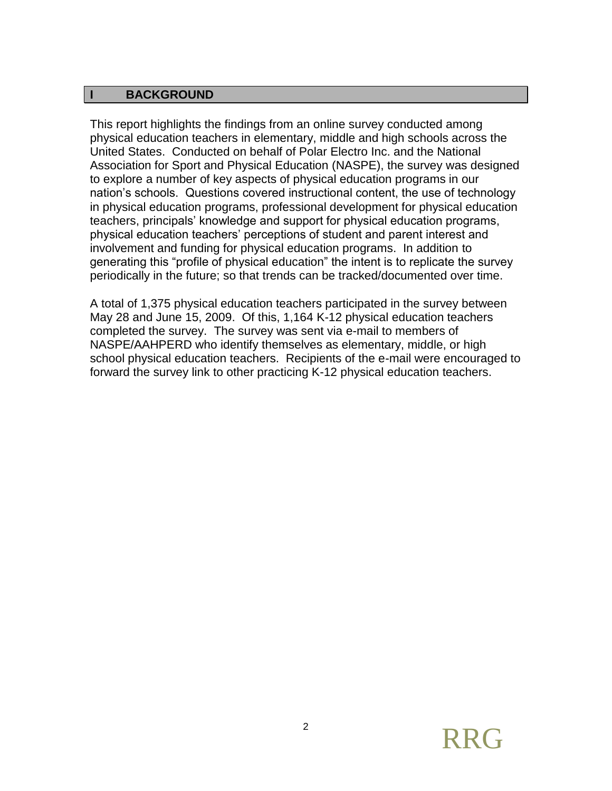#### **I BACKGROUND**

This report highlights the findings from an online survey conducted among physical education teachers in elementary, middle and high schools across the United States. Conducted on behalf of Polar Electro Inc. and the National Association for Sport and Physical Education (NASPE), the survey was designed to explore a number of key aspects of physical education programs in our nation's schools. Questions covered instructional content, the use of technology in physical education programs, professional development for physical education teachers, principals' knowledge and support for physical education programs, physical education teachers' perceptions of student and parent interest and involvement and funding for physical education programs. In addition to generating this "profile of physical education" the intent is to replicate the survey periodically in the future; so that trends can be tracked/documented over time.

A total of 1,375 physical education teachers participated in the survey between May 28 and June 15, 2009. Of this, 1,164 K-12 physical education teachers completed the survey. The survey was sent via e-mail to members of NASPE/AAHPERD who identify themselves as elementary, middle, or high school physical education teachers. Recipients of the e-mail were encouraged to forward the survey link to other practicing K-12 physical education teachers.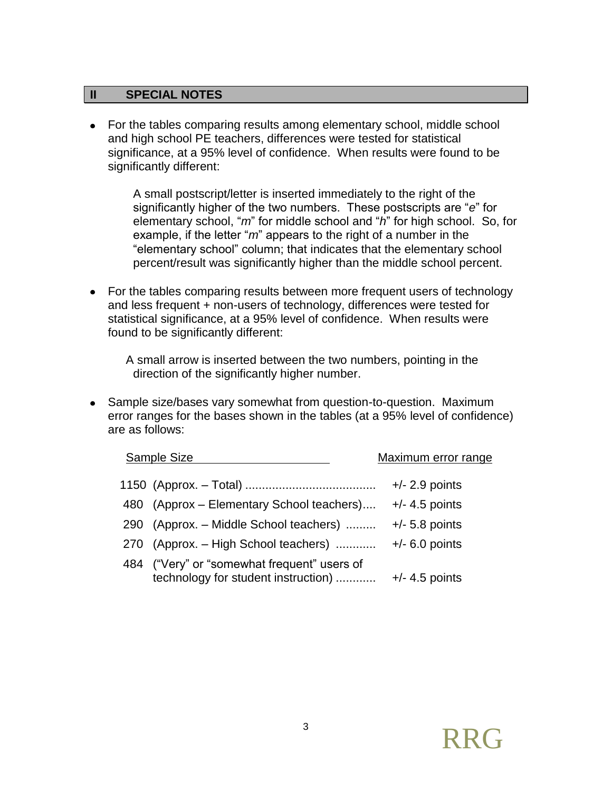#### **II SPECIAL NOTES**

• For the tables comparing results among elementary school, middle school and high school PE teachers, differences were tested for statistical significance, at a 95% level of confidence. When results were found to be significantly different:

> A small postscript/letter is inserted immediately to the right of the significantly higher of the two numbers. These postscripts are "*e*" for elementary school, "*m*" for middle school and "*h*" for high school. So, for example, if the letter "*m*" appears to the right of a number in the "elementary school" column; that indicates that the elementary school percent/result was significantly higher than the middle school percent.

• For the tables comparing results between more frequent users of technology and less frequent + non-users of technology, differences were tested for statistical significance, at a 95% level of confidence. When results were found to be significantly different:

A small arrow is inserted between the two numbers, pointing in the direction of the significantly higher number.

• Sample size/bases vary somewhat from question-to-question. Maximum error ranges for the bases shown in the tables (at a 95% level of confidence) are as follows:

| Sample Size                                                                        | Maximum error range |
|------------------------------------------------------------------------------------|---------------------|
|                                                                                    | $+/- 2.9$ points    |
| 480 (Approx – Elementary School teachers)                                          | $+/- 4.5$ points    |
| 290 (Approx. - Middle School teachers)                                             | $+/- 5.8$ points    |
| 270 (Approx. - High School teachers)                                               | $+/- 6.0$ points    |
| 484 ("Very" or "somewhat frequent" users of<br>technology for student instruction) | $+/-$ 4.5 points    |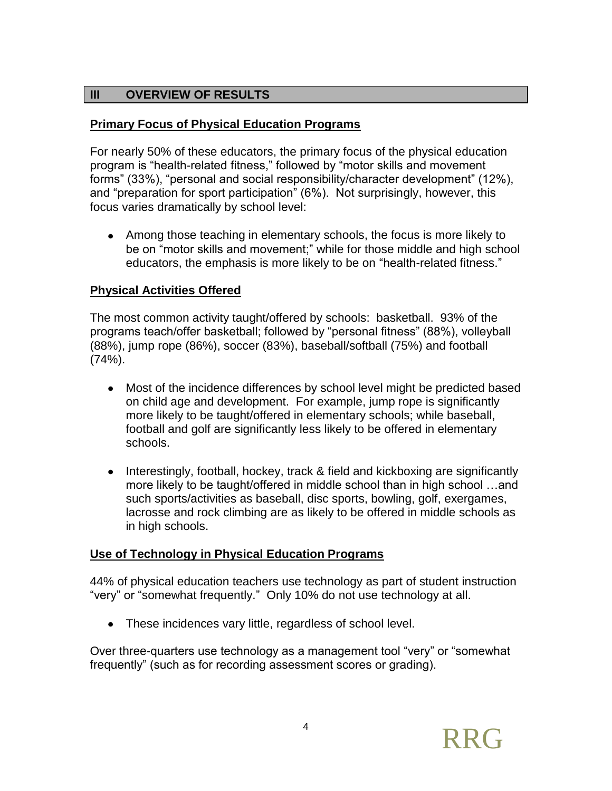## **III OVERVIEW OF RESULTS**

## **Primary Focus of Physical Education Programs**

For nearly 50% of these educators, the primary focus of the physical education program is "health-related fitness," followed by "motor skills and movement forms" (33%), "personal and social responsibility/character development" (12%), and "preparation for sport participation" (6%). Not surprisingly, however, this focus varies dramatically by school level:

Among those teaching in elementary schools, the focus is more likely to be on "motor skills and movement;" while for those middle and high school educators, the emphasis is more likely to be on "health-related fitness."

#### **Physical Activities Offered**

The most common activity taught/offered by schools: basketball. 93% of the programs teach/offer basketball; followed by "personal fitness" (88%), volleyball (88%), jump rope (86%), soccer (83%), baseball/softball (75%) and football  $(74%)$ .

- Most of the incidence differences by school level might be predicted based on child age and development. For example, jump rope is significantly more likely to be taught/offered in elementary schools; while baseball, football and golf are significantly less likely to be offered in elementary schools.
- Interestingly, football, hockey, track & field and kickboxing are significantly more likely to be taught/offered in middle school than in high school …and such sports/activities as baseball, disc sports, bowling, golf, exergames, lacrosse and rock climbing are as likely to be offered in middle schools as in high schools.

## **Use of Technology in Physical Education Programs**

44% of physical education teachers use technology as part of student instruction "very" or "somewhat frequently." Only 10% do not use technology at all.

These incidences vary little, regardless of school level.

Over three-quarters use technology as a management tool "very" or "somewhat frequently" (such as for recording assessment scores or grading).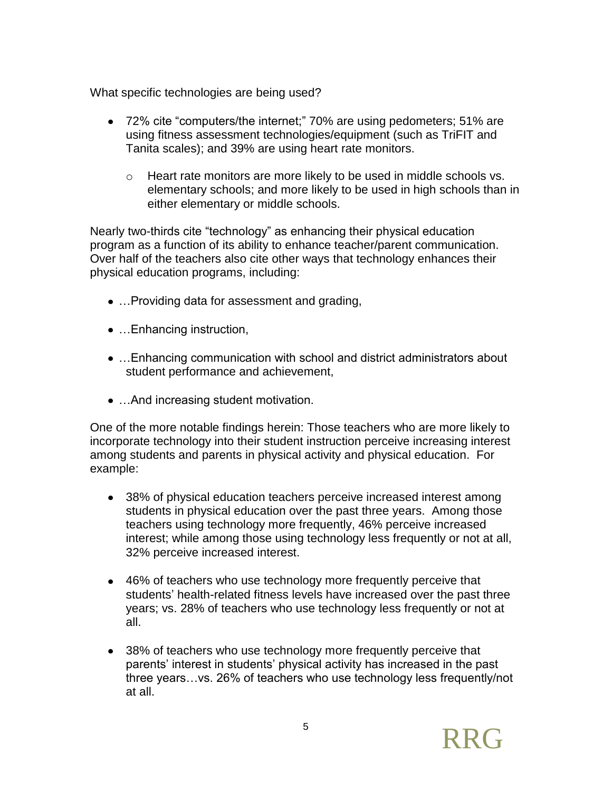What specific technologies are being used?

- 72% cite "computers/the internet;" 70% are using pedometers; 51% are using fitness assessment technologies/equipment (such as TriFIT and Tanita scales); and 39% are using heart rate monitors.
	- $\circ$  Heart rate monitors are more likely to be used in middle schools vs. elementary schools; and more likely to be used in high schools than in either elementary or middle schools.

Nearly two-thirds cite "technology" as enhancing their physical education program as a function of its ability to enhance teacher/parent communication. Over half of the teachers also cite other ways that technology enhances their physical education programs, including:

- …Providing data for assessment and grading,
- ... Enhancing instruction,
- …Enhancing communication with school and district administrators about student performance and achievement,
- ... And increasing student motivation.

One of the more notable findings herein: Those teachers who are more likely to incorporate technology into their student instruction perceive increasing interest among students and parents in physical activity and physical education. For example:

- 38% of physical education teachers perceive increased interest among students in physical education over the past three years. Among those teachers using technology more frequently, 46% perceive increased interest; while among those using technology less frequently or not at all, 32% perceive increased interest.
- 46% of teachers who use technology more frequently perceive that students' health-related fitness levels have increased over the past three years; vs. 28% of teachers who use technology less frequently or not at all.
- 38% of teachers who use technology more frequently perceive that parents' interest in students' physical activity has increased in the past three years…vs. 26% of teachers who use technology less frequently/not at all.

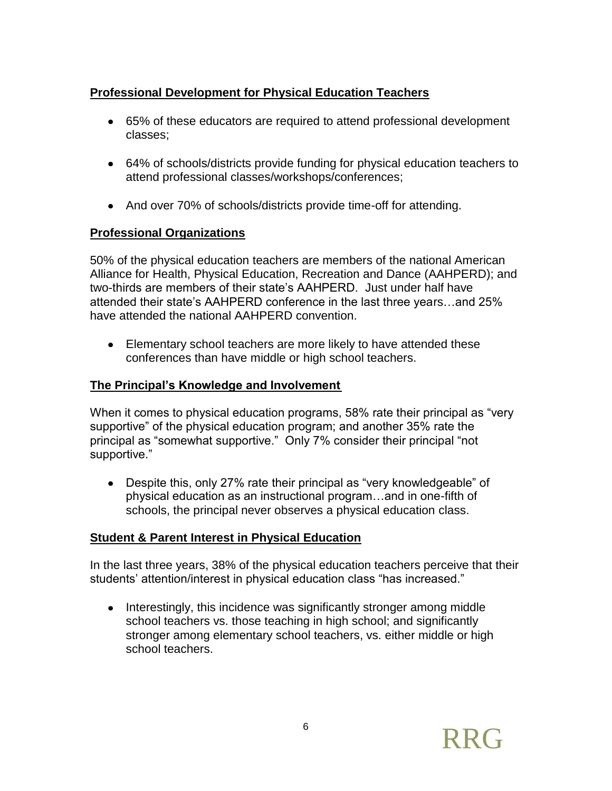## **Professional Development for Physical Education Teachers**

- 65% of these educators are required to attend professional development classes;
- 64% of schools/districts provide funding for physical education teachers to attend professional classes/workshops/conferences;
- And over 70% of schools/districts provide time-off for attending.

## **Professional Organizations**

50% of the physical education teachers are members of the national American Alliance for Health, Physical Education, Recreation and Dance (AAHPERD); and two-thirds are members of their state's AAHPERD. Just under half have attended their state's AAHPERD conference in the last three years…and 25% have attended the national AAHPERD convention.

Elementary school teachers are more likely to have attended these conferences than have middle or high school teachers.

## **The Principal's Knowledge and Involvement**

When it comes to physical education programs, 58% rate their principal as "very supportive" of the physical education program; and another 35% rate the principal as "somewhat supportive." Only 7% consider their principal "not supportive."

Despite this, only 27% rate their principal as "very knowledgeable" of physical education as an instructional program…and in one-fifth of schools, the principal never observes a physical education class.

## **Student & Parent Interest in Physical Education**

In the last three years, 38% of the physical education teachers perceive that their students' attention/interest in physical education class "has increased."

• Interestingly, this incidence was significantly stronger among middle school teachers vs. those teaching in high school; and significantly stronger among elementary school teachers, vs. either middle or high school teachers.

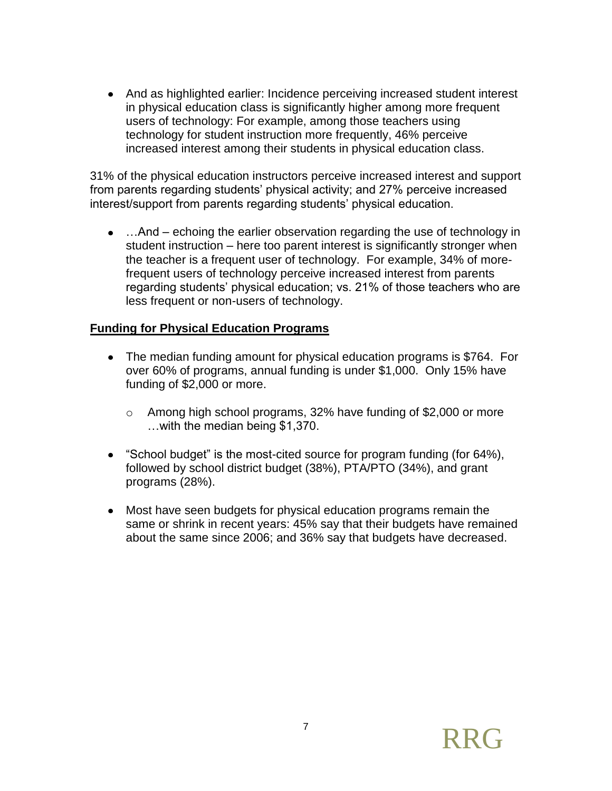And as highlighted earlier: Incidence perceiving increased student interest in physical education class is significantly higher among more frequent users of technology: For example, among those teachers using technology for student instruction more frequently, 46% perceive increased interest among their students in physical education class.

31% of the physical education instructors perceive increased interest and support from parents regarding students' physical activity; and 27% perceive increased interest/support from parents regarding students' physical education.

• ... And – echoing the earlier observation regarding the use of technology in student instruction – here too parent interest is significantly stronger when the teacher is a frequent user of technology. For example, 34% of morefrequent users of technology perceive increased interest from parents regarding students' physical education; vs. 21% of those teachers who are less frequent or non-users of technology.

## **Funding for Physical Education Programs**

- The median funding amount for physical education programs is \$764. For over 60% of programs, annual funding is under \$1,000. Only 15% have funding of \$2,000 or more.
	- o Among high school programs, 32% have funding of \$2,000 or more …with the median being \$1,370.
- "School budget" is the most-cited source for program funding (for 64%), followed by school district budget (38%), PTA/PTO (34%), and grant programs (28%).
- Most have seen budgets for physical education programs remain the same or shrink in recent years: 45% say that their budgets have remained about the same since 2006; and 36% say that budgets have decreased.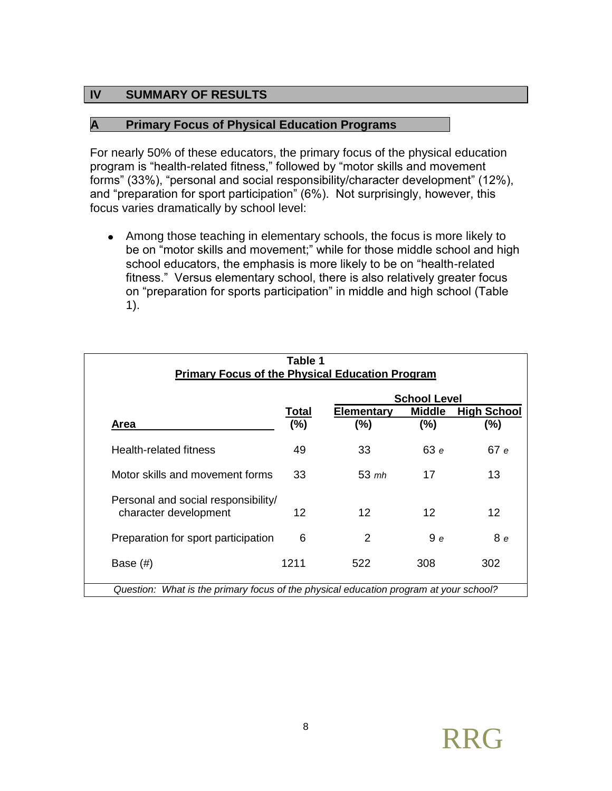#### **IV SUMMARY OF RESULTS**

#### **A Primary Focus of Physical Education Programs**

For nearly 50% of these educators, the primary focus of the physical education program is "health-related fitness," followed by "motor skills and movement forms" (33%), "personal and social responsibility/character development" (12%), and "preparation for sport participation" (6%). Not surprisingly, however, this focus varies dramatically by school level:

Among those teaching in elementary schools, the focus is more likely to be on "motor skills and movement;" while for those middle school and high school educators, the emphasis is more likely to be on "health-related fitness." Versus elementary school, there is also relatively greater focus on "preparation for sports participation" in middle and high school (Table 1).

|                                                              |              |                          | <b>School Level</b>  |                           |
|--------------------------------------------------------------|--------------|--------------------------|----------------------|---------------------------|
| Area                                                         | Total<br>(%) | <b>Elementary</b><br>(%) | <b>Middle</b><br>(%) | <b>High School</b><br>(%) |
| Health-related fitness                                       | 49           | 33                       | 63e                  | 67 e                      |
| Motor skills and movement forms                              | 33           | $53 \; \text{mh}$        | 17                   | 13                        |
| Personal and social responsibility/<br>character development | 12           | $12 \overline{ }$        | 12                   | $12 \overline{ }$         |
| Preparation for sport participation                          | 6            | 2                        | 9e                   | 8 e                       |
| Base $(\#)$                                                  | 1211         | 522                      | 308                  | 302                       |

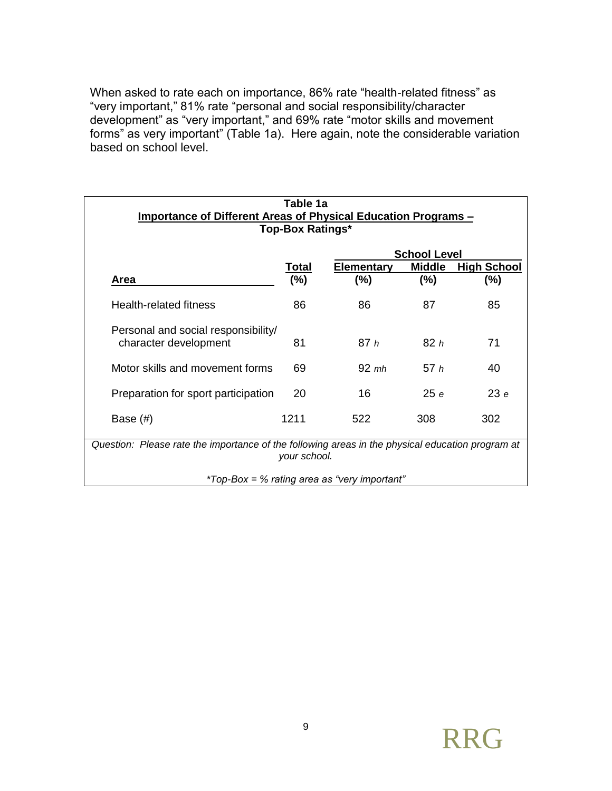When asked to rate each on importance, 86% rate "health-related fitness" as "very important," 81% rate "personal and social responsibility/character development" as "very important," and 69% rate "motor skills and movement forms" as very important" (Table 1a). Here again, note the considerable variation based on school level.

|                                                                                                  | Table 1a                |                                              |                                      |                    |
|--------------------------------------------------------------------------------------------------|-------------------------|----------------------------------------------|--------------------------------------|--------------------|
| Importance of Different Areas of Physical Education Programs -                                   | <b>Top-Box Ratings*</b> |                                              |                                      |                    |
|                                                                                                  |                         |                                              |                                      |                    |
|                                                                                                  | <u>Total</u>            | <b>Elementary</b>                            | <b>School Level</b><br><b>Middle</b> | <b>High School</b> |
| Area                                                                                             | (%)                     | (%)                                          | (%)                                  | $(\% )$            |
| Health-related fitness                                                                           | 86                      | 86                                           | 87                                   | 85                 |
| Personal and social responsibility/<br>character development                                     | 81                      | 87h                                          | 82h                                  | 71                 |
| Motor skills and movement forms                                                                  | 69                      | $92 \;$ mh                                   | 57h                                  | 40                 |
| Preparation for sport participation                                                              | 20                      | 16                                           | 25e                                  | 23e                |
| Base $(\#)$                                                                                      | 1211                    | 522                                          | 308                                  | 302                |
| Question: Please rate the importance of the following areas in the physical education program at | your school.            |                                              |                                      |                    |
|                                                                                                  |                         | *Top-Box = % rating area as "very important" |                                      |                    |

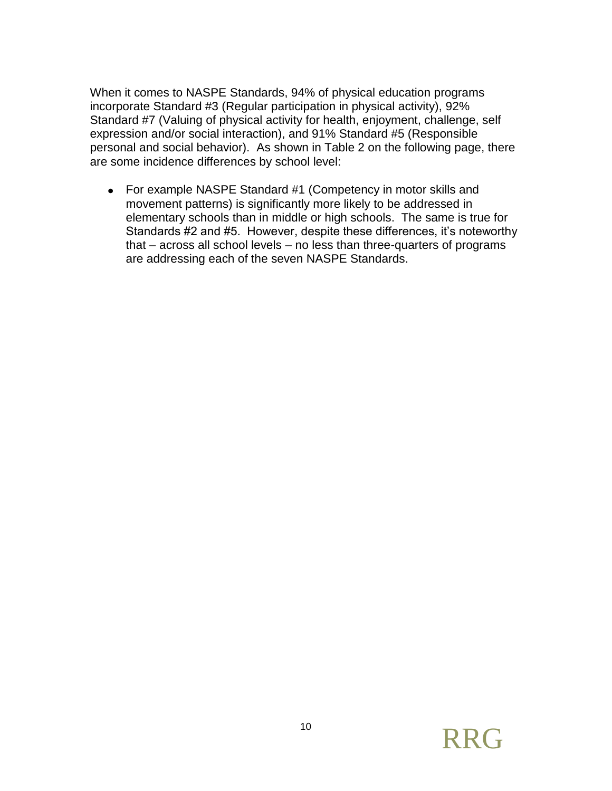When it comes to NASPE Standards, 94% of physical education programs incorporate Standard #3 (Regular participation in physical activity), 92% Standard #7 (Valuing of physical activity for health, enjoyment, challenge, self expression and/or social interaction), and 91% Standard #5 (Responsible personal and social behavior). As shown in Table 2 on the following page, there are some incidence differences by school level:

For example NASPE Standard #1 (Competency in motor skills and movement patterns) is significantly more likely to be addressed in elementary schools than in middle or high schools. The same is true for Standards #2 and #5. However, despite these differences, it's noteworthy that – across all school levels – no less than three-quarters of programs are addressing each of the seven NASPE Standards.

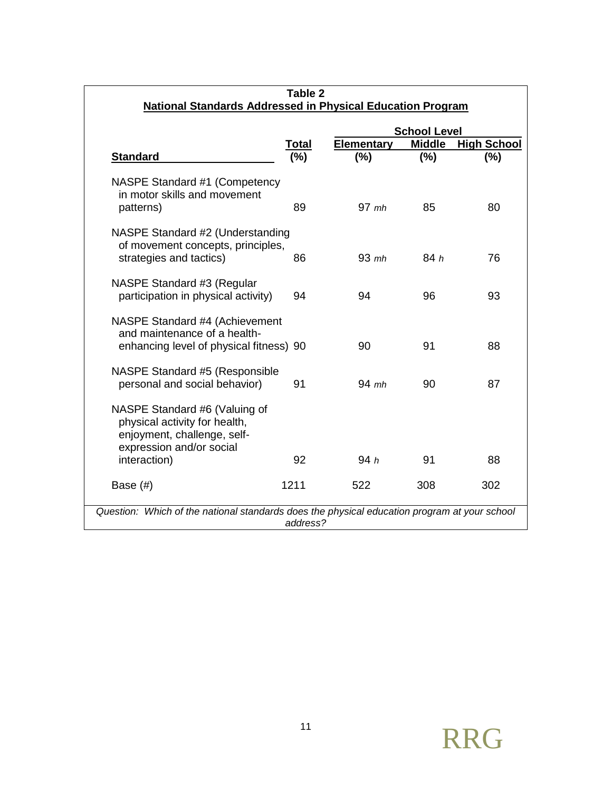| <b>National Standards Addressed in Physical Education Program</b>                                                                         | Table 2      |                          |                      |                           |
|-------------------------------------------------------------------------------------------------------------------------------------------|--------------|--------------------------|----------------------|---------------------------|
|                                                                                                                                           |              |                          | <b>School Level</b>  |                           |
| <b>Standard</b>                                                                                                                           | Total<br>(%) | <b>Elementary</b><br>(%) | <b>Middle</b><br>(%) | <b>High School</b><br>(%) |
| NASPE Standard #1 (Competency<br>in motor skills and movement<br>patterns)                                                                | 89           | $97$ mh                  | 85                   | 80                        |
| NASPE Standard #2 (Understanding<br>of movement concepts, principles,<br>strategies and tactics)                                          | 86           | $93$ mh                  | 84h                  | 76                        |
| NASPE Standard #3 (Regular<br>participation in physical activity)                                                                         | 94           | 94                       | 96                   | 93                        |
| NASPE Standard #4 (Achievement<br>and maintenance of a health-<br>enhancing level of physical fitness) 90                                 |              | 90                       | 91                   | 88                        |
| NASPE Standard #5 (Responsible<br>personal and social behavior)                                                                           | 91           | $94$ mh                  | 90                   | 87                        |
| NASPE Standard #6 (Valuing of<br>physical activity for health,<br>enjoyment, challenge, self-<br>expression and/or social<br>interaction) | 92           | 94h                      | 91                   | 88                        |
| Base $(\#)$                                                                                                                               | 1211         | 522                      | 308                  | 302                       |
| Question: Which of the national standards does the physical education program at your school                                              | address?     |                          |                      |                           |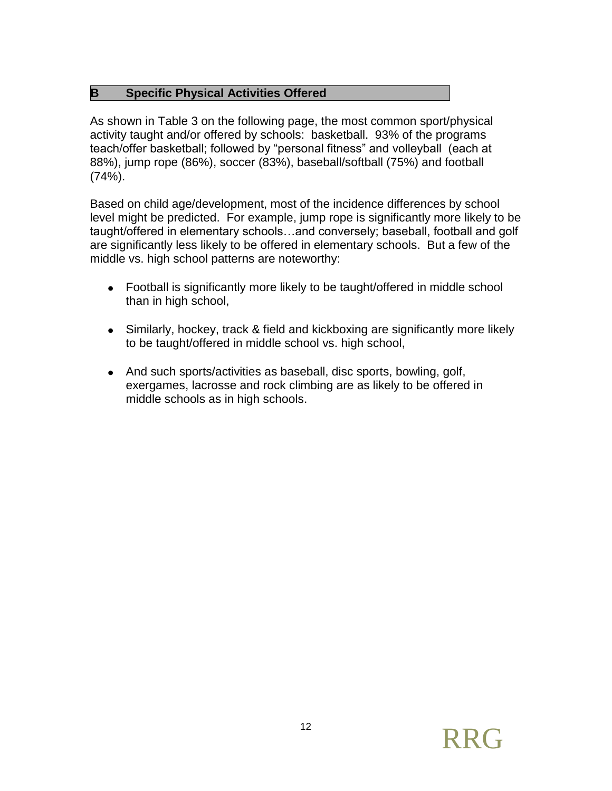## **B Specific Physical Activities Offered**

As shown in Table 3 on the following page, the most common sport/physical activity taught and/or offered by schools: basketball. 93% of the programs teach/offer basketball; followed by "personal fitness" and volleyball (each at 88%), jump rope (86%), soccer (83%), baseball/softball (75%) and football (74%).

Based on child age/development, most of the incidence differences by school level might be predicted. For example, jump rope is significantly more likely to be taught/offered in elementary schools…and conversely; baseball, football and golf are significantly less likely to be offered in elementary schools. But a few of the middle vs. high school patterns are noteworthy:

- Football is significantly more likely to be taught/offered in middle school than in high school,
- Similarly, hockey, track & field and kickboxing are significantly more likely to be taught/offered in middle school vs. high school,
- And such sports/activities as baseball, disc sports, bowling, golf, exergames, lacrosse and rock climbing are as likely to be offered in middle schools as in high schools.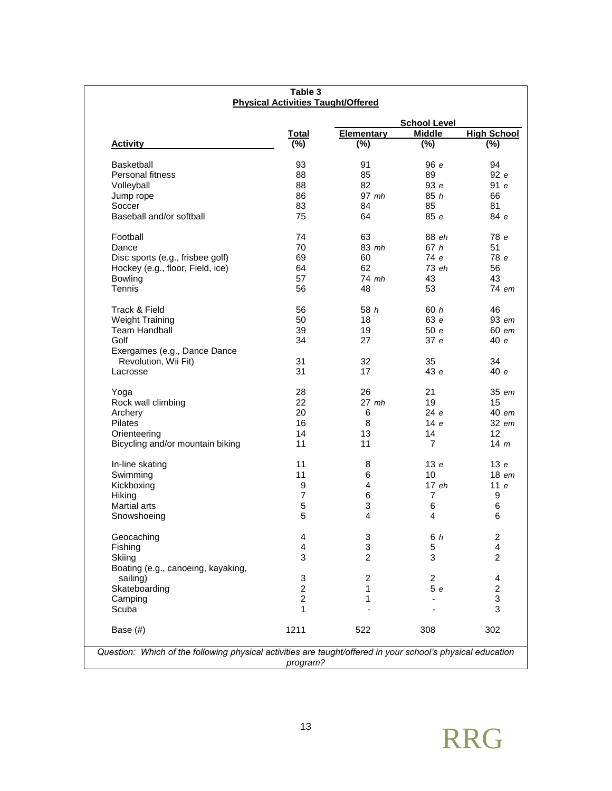|                                    |                |                         | <b>School Level</b> |                           |
|------------------------------------|----------------|-------------------------|---------------------|---------------------------|
|                                    | <b>Total</b>   | <b>Elementary</b>       | <b>Middle</b>       | <b>High School</b>        |
| <b>Activity</b>                    | (%)            | $(\% )$                 | $(\%)$              | $(\%)$                    |
| <b>Basketball</b>                  | 93             | 91                      | 96e                 | 94                        |
| Personal fitness                   | 88             | 85                      | 89                  | 92 e                      |
| Volleyball                         | 88             | 82                      | 93e                 | 91 e                      |
| Jump rope                          | 86             | $97$ mh                 | 85h                 | 66                        |
| Soccer                             | 83             | 84                      | 85                  | 81                        |
| Baseball and/or softball           | 75             | 64                      | 85e                 | 84 е                      |
| Football                           | 74             | 63                      | 88 eh               | 78 e                      |
| Dance                              | 70             | 83 mh                   | 67 h                | 51                        |
| Disc sports (e.g., frisbee golf)   | 69             | 60                      | 74 e                | 78 e                      |
|                                    |                | 62                      | 73eh                | 56                        |
| Hockey (e.g., floor, Field, ice)   | 64             |                         |                     |                           |
| <b>Bowling</b>                     | 57             | 74 mh                   | 43                  | 43                        |
| Tennis                             | 56             | 48                      | 53                  | 74 em                     |
| Track & Field                      | 56             | 58h                     | 60 h                | 46                        |
| <b>Weight Training</b>             | 50             | 18                      | 63 e                | 93 em                     |
| <b>Team Handball</b>               | 39             | 19                      | 50e                 | 60 em                     |
| Golf                               | 34             | 27                      | 37e                 | 40e                       |
| Exergames (e.g., Dance Dance       |                |                         |                     |                           |
| Revolution, Wii Fit)               | 31             | 32                      | 35                  | 34                        |
| Lacrosse                           | 31             | 17                      | 43e                 | 40e                       |
|                                    |                |                         |                     |                           |
| Yoga                               | 28             | 26                      | 21                  | 35 em                     |
| Rock wall climbing                 | 22             | $27$ mh                 | 19                  | 15                        |
| Archery                            | 20             | 6                       | 24e                 | 40 em                     |
| Pilates                            | 16             | 8                       | 14e                 | 32 em                     |
| Orienteering                       | 14             | 13                      | 14                  | 12                        |
| Bicycling and/or mountain biking   | 11             | 11                      | $\overline{7}$      | 14 m                      |
| In-line skating                    | 11             | 8                       | 13e                 | 13e                       |
| Swimming                           | 11             | 6                       | 10                  | $18$ em                   |
| Kickboxing                         | 9              | $\overline{4}$          | 17eh                | 11 e                      |
| Hiking                             | $\overline{7}$ | 6                       | $\overline{7}$      | 9                         |
| Martial arts                       | 5              | 3                       | 6                   | 6                         |
| Snowshoeing                        | 5              | 4                       | 4                   | 6                         |
| Geocaching                         | 4              | 3                       | 6 h                 | 2                         |
| Fishing                            | 4              | 3                       | 5                   | 4                         |
| Skiing                             | 3              | $\overline{2}$          | 3                   | $\overline{c}$            |
| Boating (e.g., canoeing, kayaking, |                |                         |                     |                           |
| sailing)                           | 3              | $\overline{\mathbf{c}}$ | $\overline{c}$      | 4                         |
| Skateboarding                      | $\overline{2}$ | 1                       | 5e                  | $\overline{c}$            |
| Camping                            | $\overline{2}$ | 1                       |                     | $\ensuremath{\mathsf{3}}$ |
| Scuba                              | 1              |                         |                     | 3                         |
| Base (#)                           | 1211           | 522                     | 308                 | 302                       |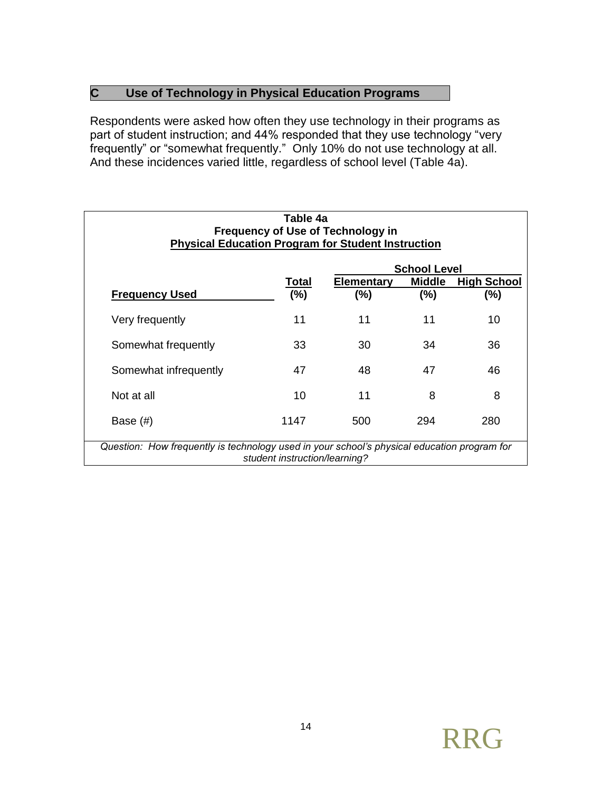## **C Use of Technology in Physical Education Programs**

Respondents were asked how often they use technology in their programs as part of student instruction; and 44% responded that they use technology "very frequently" or "somewhat frequently." Only 10% do not use technology at all. And these incidences varied little, regardless of school level (Table 4a).

| <b>Physical Education Program for Student Instruction</b>                                   | Table 4a                      | <b>Frequency of Use of Technology in</b> |                     |                    |
|---------------------------------------------------------------------------------------------|-------------------------------|------------------------------------------|---------------------|--------------------|
|                                                                                             |                               |                                          | <b>School Level</b> |                    |
|                                                                                             | Total                         | Elementary                               | <b>Middle</b>       | <b>High School</b> |
| <b>Frequency Used</b>                                                                       | (%)                           | (%)                                      | $(\% )$             | (%)                |
| Very frequently                                                                             | 11                            | 11                                       | 11                  | 10                 |
| Somewhat frequently                                                                         | 33                            | 30                                       | 34                  | 36                 |
| Somewhat infrequently                                                                       | 47                            | 48                                       | 47                  | 46                 |
| Not at all                                                                                  | 10                            | 11                                       | 8                   | 8                  |
| Base $(\#)$                                                                                 | 1147                          | 500                                      | 294                 | 280                |
| Question: How frequently is technology used in your school's physical education program for | student instruction/learning? |                                          |                     |                    |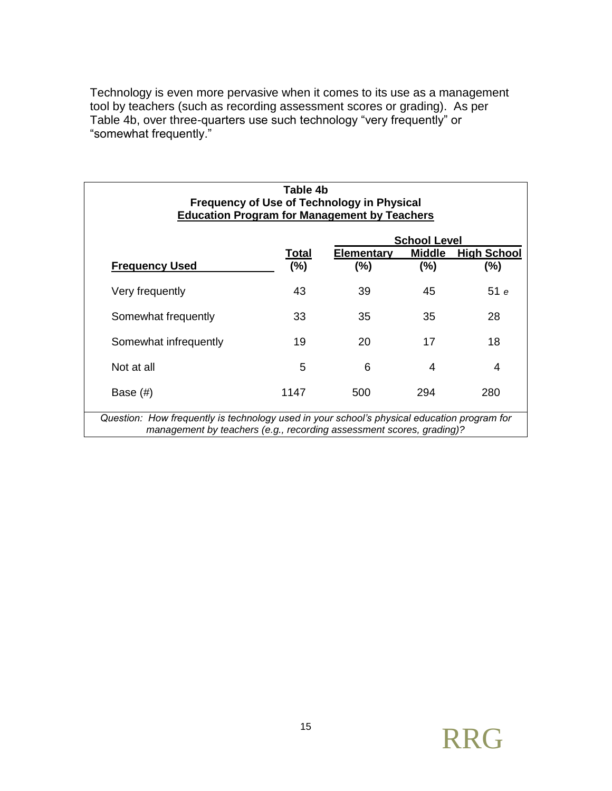Technology is even more pervasive when it comes to its use as a management tool by teachers (such as recording assessment scores or grading). As per Table 4b, over three-quarters use such technology "very frequently" or "somewhat frequently."

| <b>Education Program for Management by Teachers</b>                                                                                                                 | Table 4b | <b>Frequency of Use of Technology in Physical</b> |                     |                    |
|---------------------------------------------------------------------------------------------------------------------------------------------------------------------|----------|---------------------------------------------------|---------------------|--------------------|
|                                                                                                                                                                     |          |                                                   | <b>School Level</b> |                    |
|                                                                                                                                                                     | Total    | <b>Elementary</b>                                 | <b>Middle</b>       | <b>High School</b> |
| <b>Frequency Used</b>                                                                                                                                               | (%)      | $(\%)$                                            | $(\% )$             | (%)                |
| Very frequently                                                                                                                                                     | 43       | 39                                                | 45                  | 51e                |
| Somewhat frequently                                                                                                                                                 | 33       | 35                                                | 35                  | 28                 |
| Somewhat infrequently                                                                                                                                               | 19       | 20                                                | 17                  | 18                 |
| Not at all                                                                                                                                                          | 5        | 6                                                 | 4                   | 4                  |
| Base $(\#)$                                                                                                                                                         | 1147     | 500                                               | 294                 | 280                |
| Question: How frequently is technology used in your school's physical education program for<br>management by teachers (e.g., recording assessment scores, grading)? |          |                                                   |                     |                    |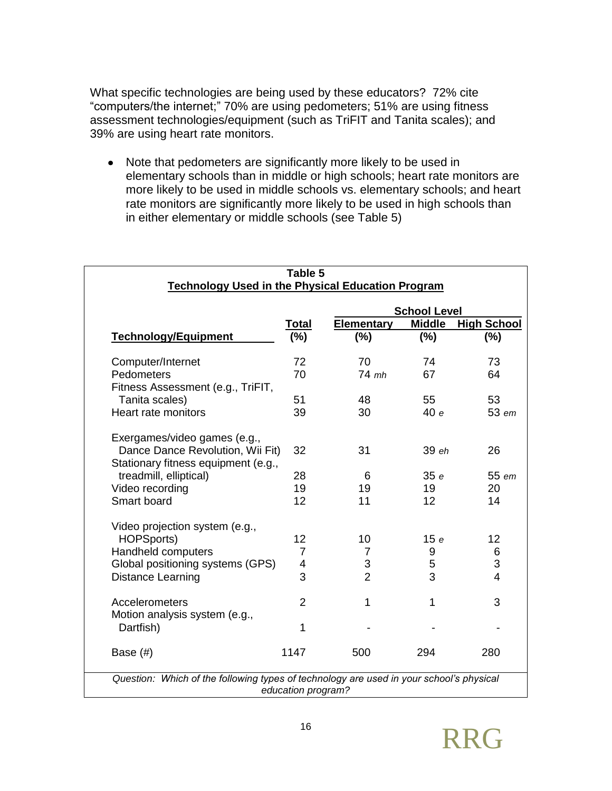What specific technologies are being used by these educators? 72% cite "computers/the internet;" 70% are using pedometers; 51% are using fitness assessment technologies/equipment (such as TriFIT and Tanita scales); and 39% are using heart rate monitors.

• Note that pedometers are significantly more likely to be used in elementary schools than in middle or high schools; heart rate monitors are more likely to be used in middle schools vs. elementary schools; and heart rate monitors are significantly more likely to be used in high schools than in either elementary or middle schools (see Table 5)

|                                                          | Table 5        |                   |                     |                         |
|----------------------------------------------------------|----------------|-------------------|---------------------|-------------------------|
| <b>Technology Used in the Physical Education Program</b> |                |                   |                     |                         |
|                                                          |                |                   | <b>School Level</b> |                         |
|                                                          | <b>Total</b>   | <b>Elementary</b> | <b>Middle</b>       | <b>High School</b>      |
| <b>Technology/Equipment</b>                              | (%)            | (%)               | (%)                 | $(\%)$                  |
| Computer/Internet                                        | 72             | 70                | 74                  | 73                      |
| Pedometers                                               | 70             | $74$ mh           | 67                  | 64                      |
| Fitness Assessment (e.g., TriFIT,                        |                |                   |                     |                         |
| Tanita scales)                                           | 51             | 48                | 55                  | 53                      |
| Heart rate monitors                                      | 39             | 30                | 40e                 | 53 em                   |
| Exergames/video games (e.g.,                             |                |                   |                     |                         |
| Dance Dance Revolution, Wii Fit)                         | 32             | 31                | 39 eh               | 26                      |
| Stationary fitness equipment (e.g.,                      |                |                   |                     |                         |
| treadmill, elliptical)                                   | 28             | 6                 | 35 e                | 55 em                   |
| Video recording                                          | 19             | 19                | 19                  | 20                      |
| Smart board                                              | 12             | 11                | 12                  | 14                      |
| Video projection system (e.g.,                           |                |                   |                     |                         |
| <b>HOPSports)</b>                                        | 12             | 10                | 15e                 | 12                      |
| Handheld computers                                       | 7              | 7                 | 9                   | 6                       |
| Global positioning systems (GPS)                         | 4              | 3                 | 5                   | 3                       |
| Distance Learning                                        | 3              | $\overline{2}$    | 3                   | $\overline{\mathbf{4}}$ |
| Accelerometers                                           | $\overline{2}$ | 1                 | 1                   | 3                       |
| Motion analysis system (e.g.,                            |                |                   |                     |                         |
| Dartfish)                                                | 1              |                   |                     |                         |
| Base $(\#)$                                              | 1147           | 500               | 294                 | 280                     |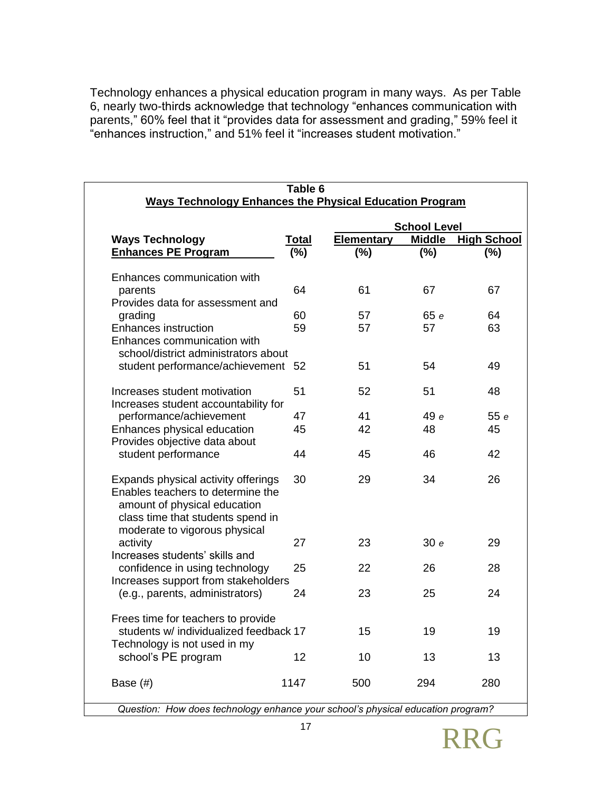Technology enhances a physical education program in many ways. As per Table 6, nearly two-thirds acknowledge that technology "enhances communication with parents," 60% feel that it "provides data for assessment and grading," 59% feel it "enhances instruction," and 51% feel it "increases student motivation."

|                                                                                                                                                                                |              |                   | <b>School Level</b> |                    |
|--------------------------------------------------------------------------------------------------------------------------------------------------------------------------------|--------------|-------------------|---------------------|--------------------|
| <b>Ways Technology</b>                                                                                                                                                         | <b>Total</b> | <b>Elementary</b> | <b>Middle</b>       | <b>High School</b> |
| <b>Enhances PE Program</b>                                                                                                                                                     | (%)          | $(\%)$            | $(\% )$             | $(\%)$             |
| Enhances communication with                                                                                                                                                    |              |                   |                     |                    |
| parents<br>Provides data for assessment and                                                                                                                                    | 64           | 61                | 67                  | 67                 |
| grading                                                                                                                                                                        | 60           | 57                | 65 e                | 64                 |
| <b>Enhances instruction</b>                                                                                                                                                    | 59           | 57                | 57                  | 63                 |
| Enhances communication with<br>school/district administrators about                                                                                                            |              |                   |                     |                    |
| student performance/achievement 52                                                                                                                                             |              | 51                | 54                  | 49                 |
| Increases student motivation<br>Increases student accountability for                                                                                                           | 51           | 52                | 51                  | 48                 |
| performance/achievement                                                                                                                                                        | 47           | 41                | 49 e                | 55e                |
| Enhances physical education                                                                                                                                                    | 45           | 42                | 48                  | 45                 |
| Provides objective data about                                                                                                                                                  |              |                   |                     |                    |
| student performance                                                                                                                                                            | 44           | 45                | 46                  | 42                 |
| Expands physical activity offerings<br>Enables teachers to determine the<br>amount of physical education<br>class time that students spend in<br>moderate to vigorous physical | 30           | 29                | 34                  | 26                 |
| activity<br>Increases students' skills and                                                                                                                                     | 27           | 23                | 30e                 | 29                 |
| confidence in using technology<br>Increases support from stakeholders                                                                                                          | 25           | 22                | 26                  | 28                 |
| (e.g., parents, administrators)                                                                                                                                                | 24           | 23                | 25                  | 24                 |
| Frees time for teachers to provide                                                                                                                                             |              |                   |                     |                    |
| students w/ individualized feedback 17                                                                                                                                         |              | 15                | 19                  | 19                 |
| Technology is not used in my                                                                                                                                                   |              |                   |                     |                    |
| school's PE program                                                                                                                                                            | 12           | 10                | 13                  | 13                 |
| Base $(\#)$                                                                                                                                                                    | 1147         | 500               | 294                 | 280                |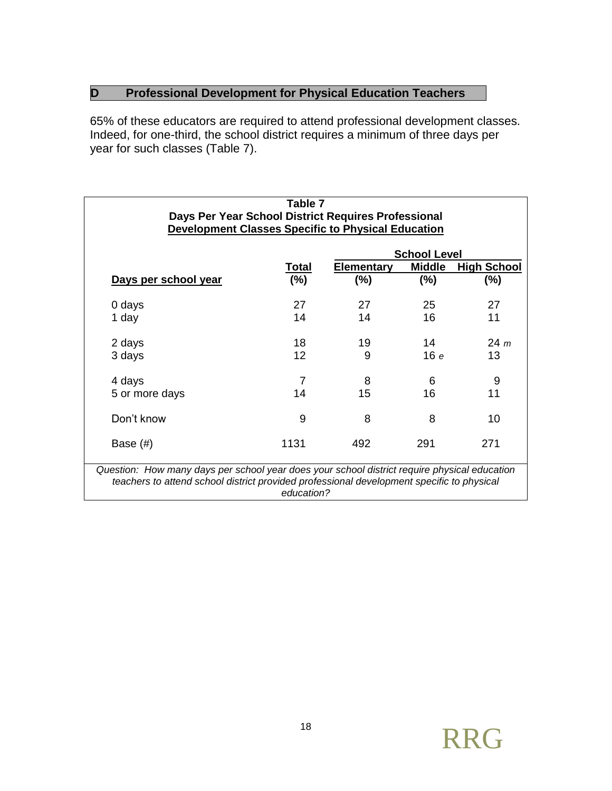# **D Professional Development for Physical Education Teachers**

65% of these educators are required to attend professional development classes. Indeed, for one-third, the school district requires a minimum of three days per year for such classes (Table 7).

|                      |              |                   | <b>School Level</b> |                    |
|----------------------|--------------|-------------------|---------------------|--------------------|
|                      | <u>Total</u> | <b>Elementary</b> | <b>Middle</b>       | <b>High School</b> |
| Days per school year | (%)          | $(\%)$            | $(\%)$              | (%)                |
| 0 days               | 27           | 27                | 25                  | 27                 |
| 1 day                | 14           | 14                | 16                  | 11                 |
| 2 days               | 18           | 19                | 14                  | $24 \; m$          |
| 3 days               | 12           | 9                 | 16e                 | 13                 |
| 4 days               | 7            | 8                 | 6                   | 9                  |
| 5 or more days       | 14           | 15                | 16                  | 11                 |
| Don't know           | 9            | 8                 | 8                   | 10                 |
| Base $(\#)$          | 1131         | 492               | 291                 | 271                |

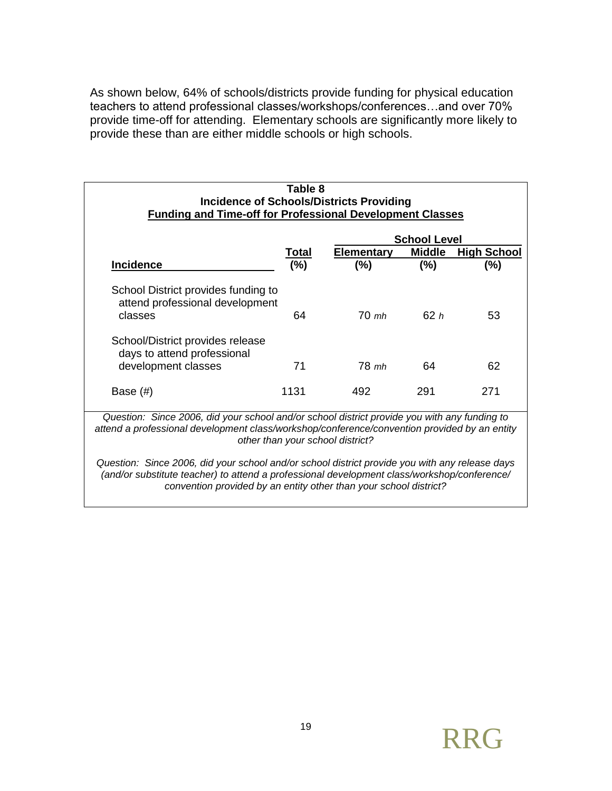As shown below, 64% of schools/districts provide funding for physical education teachers to attend professional classes/workshops/conferences…and over 70% provide time-off for attending. Elementary schools are significantly more likely to provide these than are either middle schools or high schools.

| <b>Elementary</b><br>$(\%)$ | <b>Middle</b><br>$(\%)$ | <b>High School</b><br>$(\%)$                                                                                                                                                                 |
|-----------------------------|-------------------------|----------------------------------------------------------------------------------------------------------------------------------------------------------------------------------------------|
|                             |                         |                                                                                                                                                                                              |
|                             |                         |                                                                                                                                                                                              |
| $70$ mh                     | 62h                     | 53                                                                                                                                                                                           |
| 78 mh                       | 64                      | 62                                                                                                                                                                                           |
| 492                         | 291                     | 271                                                                                                                                                                                          |
|                             |                         | Question: Since 2006, did your school and/or school district provide you with any funding to<br>attend a professional development class/workshop/conference/convention provided by an entity |

*convention provided by an entity other than your school district?*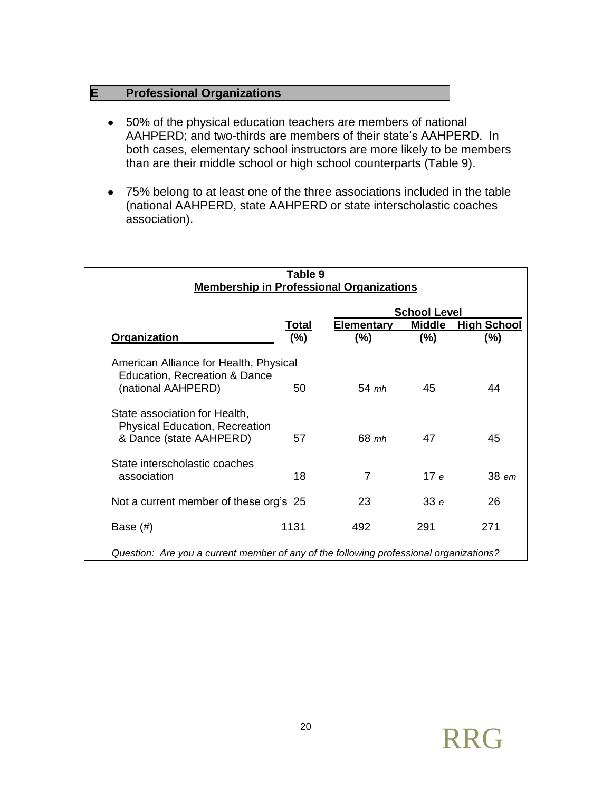## **E Professional Organizations**

- 50% of the physical education teachers are members of national AAHPERD; and two-thirds are members of their state's AAHPERD. In both cases, elementary school instructors are more likely to be members than are their middle school or high school counterparts (Table 9).
- 75% belong to at least one of the three associations included in the table (national AAHPERD, state AAHPERD or state interscholastic coaches association).

| Table 9<br><b>Membership in Professional Organizations</b>                                               |              |                   |               |                    |
|----------------------------------------------------------------------------------------------------------|--------------|-------------------|---------------|--------------------|
|                                                                                                          |              |                   |               |                    |
|                                                                                                          | <u>Total</u> | <b>Elementary</b> | <b>Middle</b> | <b>High School</b> |
| Organization                                                                                             | (%)          | $(\% )$           | (%)           | $(\%)$             |
| American Alliance for Health, Physical<br><b>Education, Recreation &amp; Dance</b><br>(national AAHPERD) | 50           | $54$ mh           | 45            | 44                 |
| State association for Health,<br><b>Physical Education, Recreation</b><br>& Dance (state AAHPERD)        | 57           | $68$ mh           | 47            | 45                 |
| State interscholastic coaches<br>association                                                             | 18           | 7                 | 17e           | 38 em              |
| Not a current member of these org's 25                                                                   |              | 23                | 33e           | 26                 |
| Base $(\#)$                                                                                              | 1131         | 492               | 291           | 271                |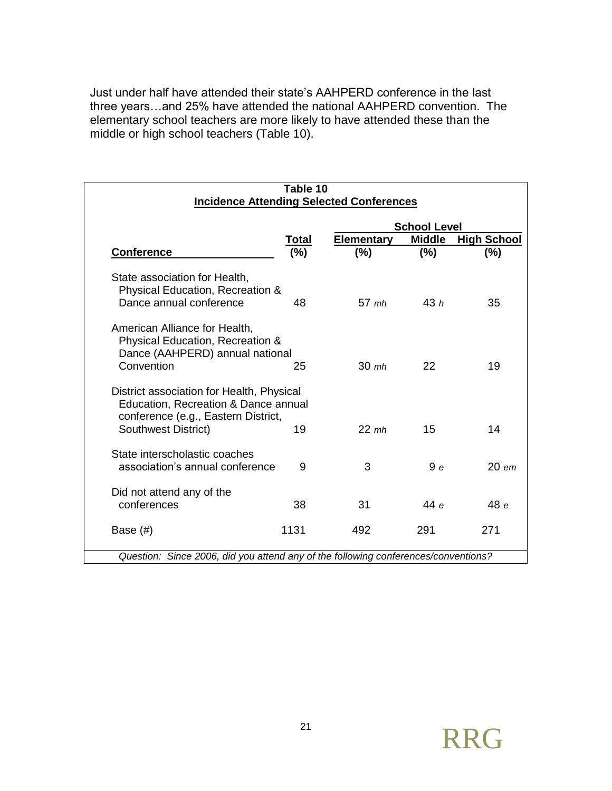Just under half have attended their state's AAHPERD conference in the last three years…and 25% have attended the national AAHPERD convention. The elementary school teachers are more likely to have attended these than the middle or high school teachers (Table 10).

| Table 10<br><b>Incidence Attending Selected Conferences</b>                                                                                     |       |                     |               |                    |  |
|-------------------------------------------------------------------------------------------------------------------------------------------------|-------|---------------------|---------------|--------------------|--|
|                                                                                                                                                 |       | <b>School Level</b> |               |                    |  |
|                                                                                                                                                 | Total | <b>Elementary</b>   | <b>Middle</b> | <b>High School</b> |  |
| <b>Conference</b>                                                                                                                               | (%)   | $(\%)$              | (%)           | (%)                |  |
| State association for Health,<br>Physical Education, Recreation &<br>Dance annual conference                                                    | 48    | $57$ mh             | 43h           | 35                 |  |
| American Alliance for Health,<br>Physical Education, Recreation &<br>Dance (AAHPERD) annual national<br>Convention                              | 25    | $30$ mh             | 22            | 19                 |  |
| District association for Health, Physical<br>Education, Recreation & Dance annual<br>conference (e.g., Eastern District,<br>Southwest District) | 19    | $22$ mh             | 15            | 14                 |  |
|                                                                                                                                                 |       |                     |               |                    |  |
| State interscholastic coaches<br>association's annual conference                                                                                | 9     | 3                   | 9e            | $20$ em            |  |
| Did not attend any of the<br>conferences                                                                                                        | 38    | 31                  | 44 e          | 48 e               |  |
| Base $(\#)$                                                                                                                                     | 1131  | 492                 | 291           | 271                |  |
| Question: Since 2006, did you attend any of the following conferences/conventions?                                                              |       |                     |               |                    |  |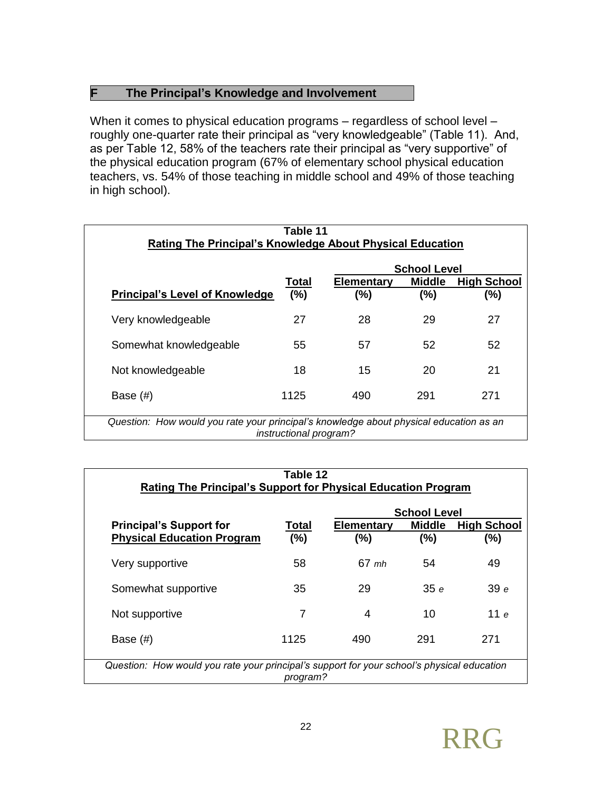#### **F The Principal's Knowledge and Involvement**

When it comes to physical education programs – regardless of school level – roughly one-quarter rate their principal as "very knowledgeable" (Table 11). And, as per Table 12, 58% of the teachers rate their principal as "very supportive" of the physical education program (67% of elementary school physical education teachers, vs. 54% of those teaching in middle school and 49% of those teaching in high school).

|                                       |              | <b>School Level</b>          |                      |                              |  |
|---------------------------------------|--------------|------------------------------|----------------------|------------------------------|--|
| <b>Principal's Level of Knowledge</b> | Total<br>(%) | <b>Elementary</b><br>$(\% )$ | <b>Middle</b><br>(%) | <b>High School</b><br>$(\%)$ |  |
| Very knowledgeable                    | 27           | 28                           | 29                   | 27                           |  |
| Somewhat knowledgeable                | 55           | 57                           | 52                   | 52                           |  |
| Not knowledgeable                     | 18           | 15                           | 20                   | 21                           |  |
| Base (#)                              | 1125         | 490                          | 291                  | 271                          |  |

| Table 12<br>Rating The Principal's Support for Physical Education Program                              |              |                             |                      |                              |
|--------------------------------------------------------------------------------------------------------|--------------|-----------------------------|----------------------|------------------------------|
| <b>School Level</b>                                                                                    |              |                             |                      |                              |
| <b>Principal's Support for</b><br><b>Physical Education Program</b>                                    | Total<br>(%) | <b>Elementary</b><br>$(\%)$ | <b>Middle</b><br>(%) | <b>High School</b><br>$(\%)$ |
| Very supportive                                                                                        | 58           | $67$ mh                     | 54                   | 49                           |
| Somewhat supportive                                                                                    | 35           | 29                          | 35e                  | 39e                          |
| Not supportive                                                                                         | 7            | 4                           | 10                   | م 11                         |
| Base $(\#)$                                                                                            | 1125         | 490                         | 291                  | 271                          |
| Question: How would you rate your principal's support for your school's physical education<br>program? |              |                             |                      |                              |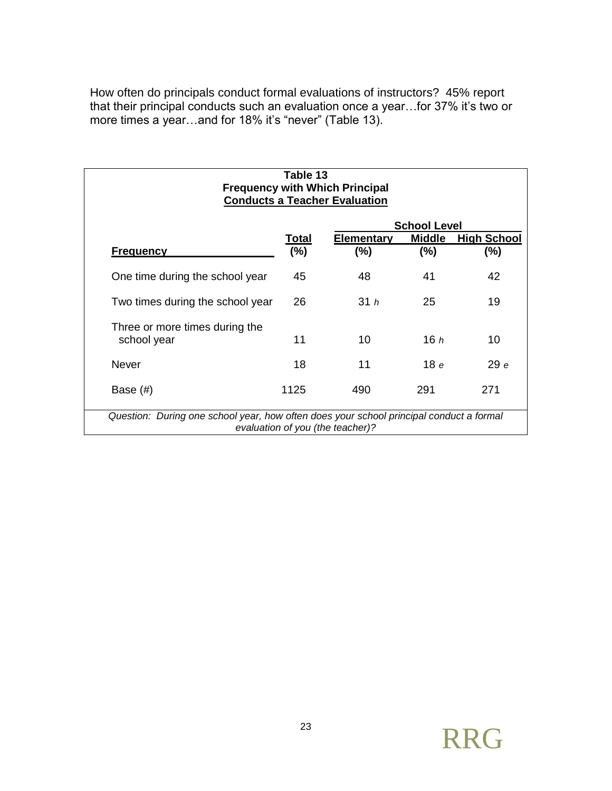How often do principals conduct formal evaluations of instructors? 45% report that their principal conducts such an evaluation once a year…for 37% it's two or more times a year…and for 18% it's "never" (Table 13).

| Table 13<br><b>Frequency with Which Principal</b><br><b>Conducts a Teacher Evaluation</b> |                  |                                  |                         |                               |
|-------------------------------------------------------------------------------------------|------------------|----------------------------------|-------------------------|-------------------------------|
|                                                                                           |                  |                                  | <b>School Level</b>     |                               |
| <b>Frequency</b>                                                                          | Total<br>$(\% )$ | <b>Elementary</b><br>$(\%)$      | <b>Middle</b><br>$(\%)$ | <b>High School</b><br>$(\% )$ |
| One time during the school year                                                           | 45               | 48                               | 41                      | 42                            |
| Two times during the school year                                                          | 26               | 31h                              | 25                      | 19                            |
| Three or more times during the<br>school year                                             | 11               | 10                               | 16h                     | 10                            |
| Never                                                                                     | 18               | 11                               | 18 e                    | 29e                           |
| Base $(\#)$                                                                               | 1125             | 490                              | 291                     | 271                           |
| Question: During one school year, how often does your school principal conduct a formal   |                  | evaluation of you (the teacher)? |                         |                               |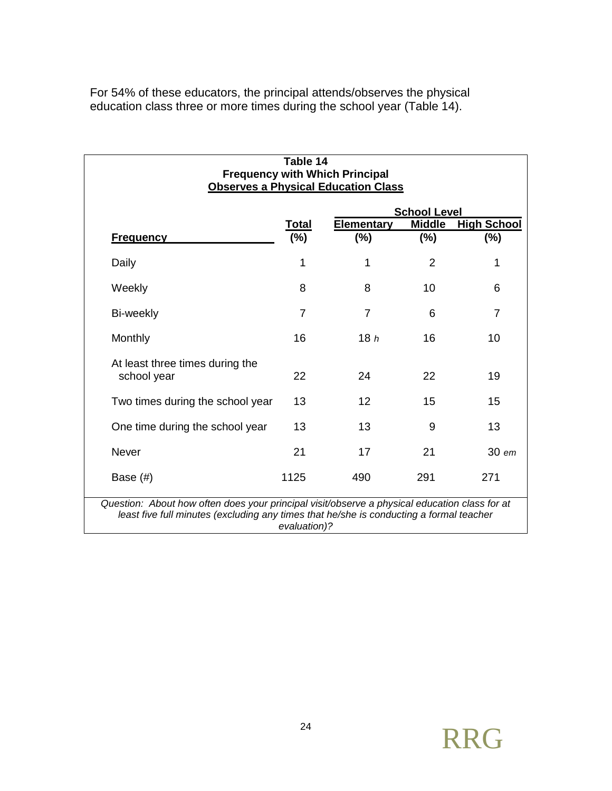For 54% of these educators, the principal attends/observes the physical education class three or more times during the school year (Table 14).

| Table 14<br><b>Frequency with Which Principal</b><br><b>Observes a Physical Education Class</b>                                                                                          |                        |                             |                      |                              |
|------------------------------------------------------------------------------------------------------------------------------------------------------------------------------------------|------------------------|-----------------------------|----------------------|------------------------------|
|                                                                                                                                                                                          |                        |                             | <b>School Level</b>  |                              |
| <b>Frequency</b>                                                                                                                                                                         | <b>Total</b><br>$(\%)$ | <b>Elementary</b><br>$(\%)$ | <b>Middle</b><br>(%) | <b>High School</b><br>$(\%)$ |
| Daily                                                                                                                                                                                    | 1                      | 1                           | $\overline{2}$       | 1                            |
| Weekly                                                                                                                                                                                   | 8                      | 8                           | 10                   | 6                            |
| Bi-weekly                                                                                                                                                                                | $\overline{7}$         | 7                           | 6                    | $\overline{7}$               |
| Monthly                                                                                                                                                                                  | 16                     | 18h                         | 16                   | 10                           |
| At least three times during the<br>school year                                                                                                                                           | 22                     | 24                          | 22                   | 19                           |
| Two times during the school year                                                                                                                                                         | 13                     | 12                          | 15                   | 15                           |
| One time during the school year                                                                                                                                                          | 13                     | 13                          | 9                    | 13                           |
| Never                                                                                                                                                                                    | 21                     | 17                          | 21                   | 30 em                        |
| Base $(\#)$                                                                                                                                                                              | 1125                   | 490                         | 291                  | 271                          |
| Question: About how often does your principal visit/observe a physical education class for at<br>least five full minutes (excluding any times that he/she is conducting a formal teacher | evaluation)?           |                             |                      |                              |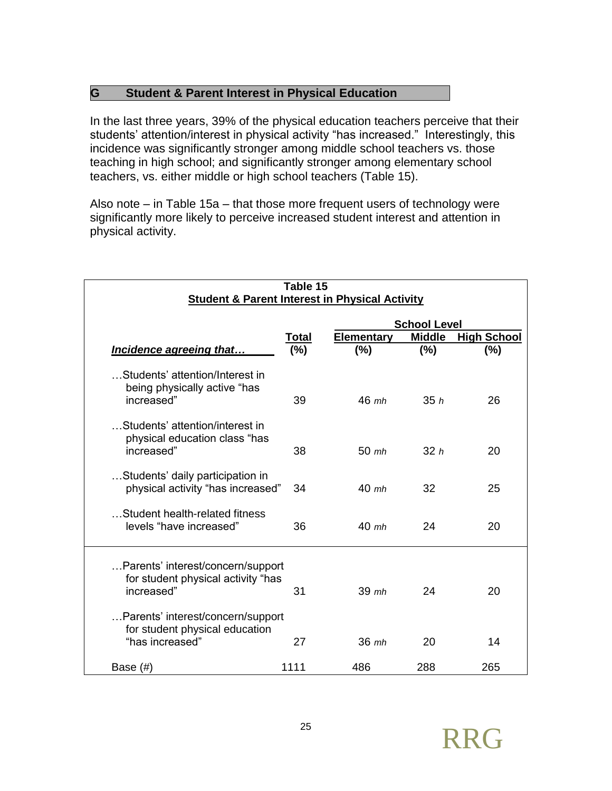#### **G Student & Parent Interest in Physical Education**

In the last three years, 39% of the physical education teachers perceive that their students' attention/interest in physical activity "has increased." Interestingly, this incidence was significantly stronger among middle school teachers vs. those teaching in high school; and significantly stronger among elementary school teachers, vs. either middle or high school teachers (Table 15).

Also note – in Table 15a – that those more frequent users of technology were significantly more likely to perceive increased student interest and attention in physical activity.

| Table 15<br><b>Student &amp; Parent Interest in Physical Activity</b>                  |       |                     |               |                    |  |
|----------------------------------------------------------------------------------------|-------|---------------------|---------------|--------------------|--|
|                                                                                        |       | <b>School Level</b> |               |                    |  |
|                                                                                        | Total | <b>Elementary</b>   | <b>Middle</b> | <b>High School</b> |  |
| Incidence agreeing that                                                                | (%)   | $(\% )$             | $(\%)$        | (%)                |  |
| Students' attention/Interest in<br>being physically active "has<br>increased"          | 39    | $46$ mh             | 35h           | 26                 |  |
| Students' attention/interest in<br>physical education class "has<br>increased"         | 38    | $50 \;$ mh          | 32h           | 20                 |  |
| Students' daily participation in<br>physical activity "has increased"                  | 34    | $40$ mh             | 32            | 25                 |  |
| Student health-related fitness<br>levels "have increased"                              | 36    | $40 \text{ mb}$     | 24            | 20                 |  |
| Parents' interest/concern/support<br>for student physical activity "has<br>increased"  | 31    | $39$ mh             | 24            | 20                 |  |
| Parents' interest/concern/support<br>for student physical education<br>"has increased" | 27    | 36 mh               | 20            | 14                 |  |
| Base (#)                                                                               | 1111  | 486                 | 288           | 265                |  |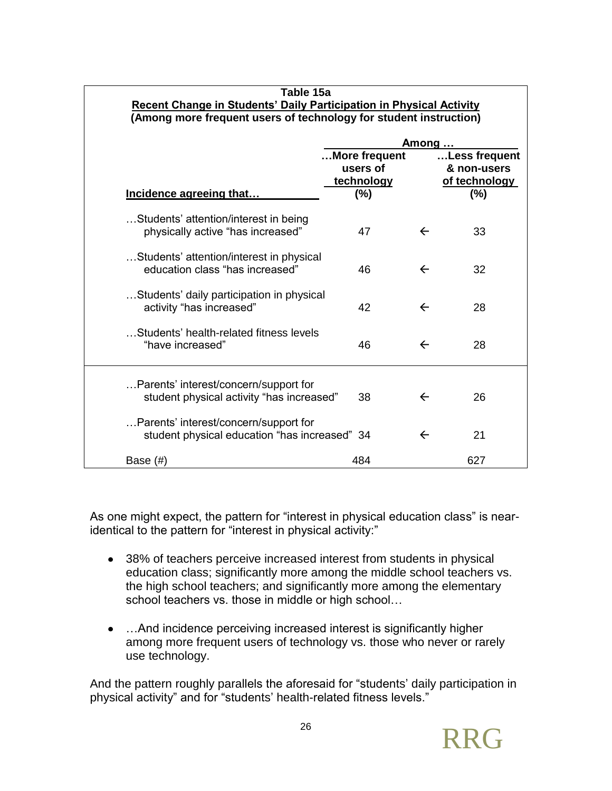| Table 15a                                                                                                                                       |                                                    |              |                                                      |  |  |
|-------------------------------------------------------------------------------------------------------------------------------------------------|----------------------------------------------------|--------------|------------------------------------------------------|--|--|
| <b>Recent Change in Students' Daily Participation in Physical Activity</b><br>(Among more frequent users of technology for student instruction) |                                                    |              |                                                      |  |  |
|                                                                                                                                                 |                                                    | Among        |                                                      |  |  |
| Incidence agreeing that                                                                                                                         | More frequent<br>users of<br>technology<br>$(\% )$ |              | Less frequent<br>& non-users<br>of technology<br>(%) |  |  |
| Students' attention/interest in being<br>physically active "has increased"                                                                      | 47                                                 | $\leftarrow$ | 33                                                   |  |  |
| Students' attention/interest in physical<br>education class "has increased"                                                                     | 46                                                 | $\leftarrow$ | 32                                                   |  |  |
| Students' daily participation in physical<br>activity "has increased"                                                                           | 42                                                 | $\leftarrow$ | 28                                                   |  |  |
| Students' health-related fitness levels<br>"have increased"                                                                                     | 46                                                 | $\leftarrow$ | 28                                                   |  |  |
| Parents' interest/concern/support for<br>student physical activity "has increased"                                                              | 38                                                 | $\leftarrow$ | 26                                                   |  |  |
| Parents' interest/concern/support for<br>student physical education "has increased" 34                                                          |                                                    | $\leftarrow$ | 21                                                   |  |  |
| Base (#)                                                                                                                                        | 484                                                |              | 627                                                  |  |  |

As one might expect, the pattern for "interest in physical education class" is nearidentical to the pattern for "interest in physical activity:"

- 38% of teachers perceive increased interest from students in physical education class; significantly more among the middle school teachers vs. the high school teachers; and significantly more among the elementary school teachers vs. those in middle or high school…
- ... And incidence perceiving increased interest is significantly higher among more frequent users of technology vs. those who never or rarely use technology.

And the pattern roughly parallels the aforesaid for "students' daily participation in physical activity" and for "students' health-related fitness levels."

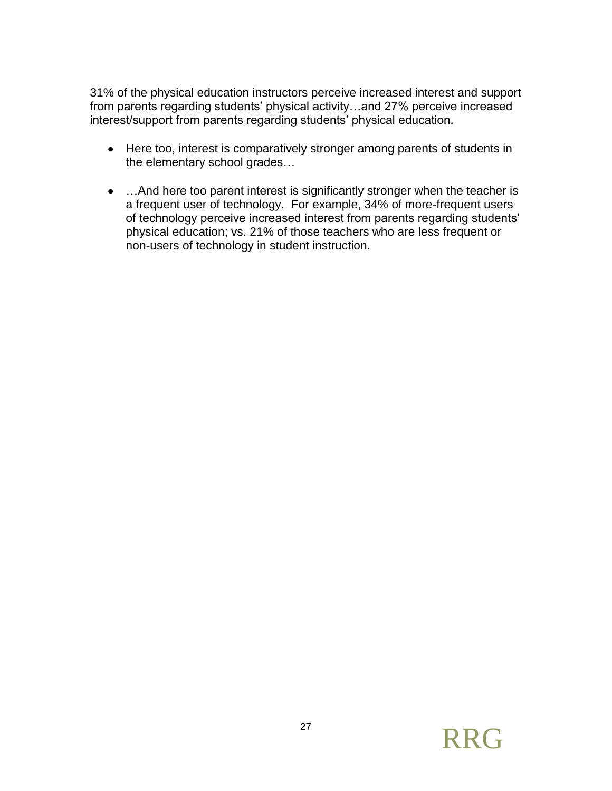31% of the physical education instructors perceive increased interest and support from parents regarding students' physical activity…and 27% perceive increased interest/support from parents regarding students' physical education.

- Here too, interest is comparatively stronger among parents of students in the elementary school grades…
- ... And here too parent interest is significantly stronger when the teacher is a frequent user of technology. For example, 34% of more-frequent users of technology perceive increased interest from parents regarding students' physical education; vs. 21% of those teachers who are less frequent or non-users of technology in student instruction.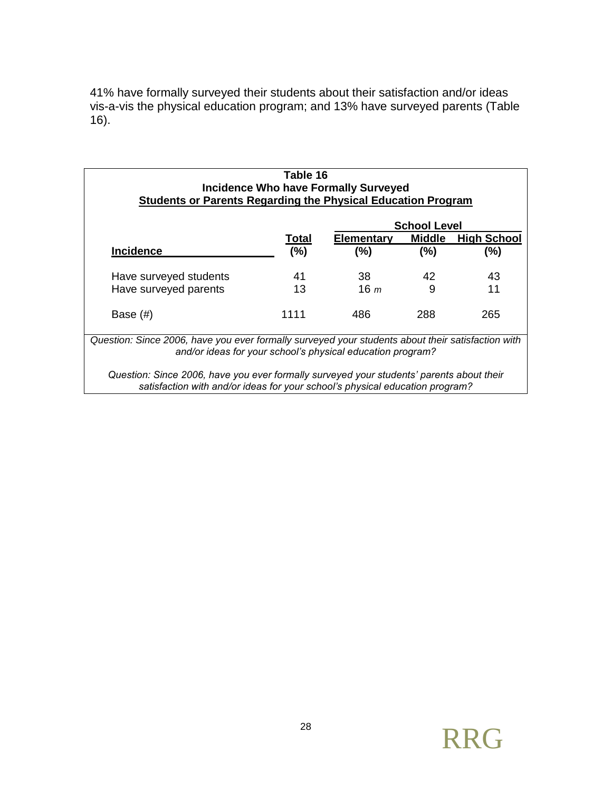41% have formally surveyed their students about their satisfaction and/or ideas vis-a-vis the physical education program; and 13% have surveyed parents (Table 16).

| <b>Incidence Who have Formally Surveyed</b><br><b>Students or Parents Regarding the Physical Education Program</b><br><b>School Level</b>                       |              |                   |               |                    |
|-----------------------------------------------------------------------------------------------------------------------------------------------------------------|--------------|-------------------|---------------|--------------------|
|                                                                                                                                                                 | <b>Total</b> | <b>Elementary</b> | <b>Middle</b> | <b>High School</b> |
| <b>Incidence</b>                                                                                                                                                | (%)          | (%)               | (%)           | (%)                |
| Have surveyed students                                                                                                                                          | 41           | 38.               | 42            | 43                 |
| Have surveyed parents                                                                                                                                           | 13           | 16 <sub>m</sub>   | 9             | 11                 |
| Base $(\#)$                                                                                                                                                     | 1111         | 486               | 288           | 265                |
| Question: Since 2006, have you ever formally surveyed your students about their satisfaction with<br>and/or ideas for your school's physical education program? |              |                   |               |                    |

*satisfaction with and/or ideas for your school's physical education program?* 

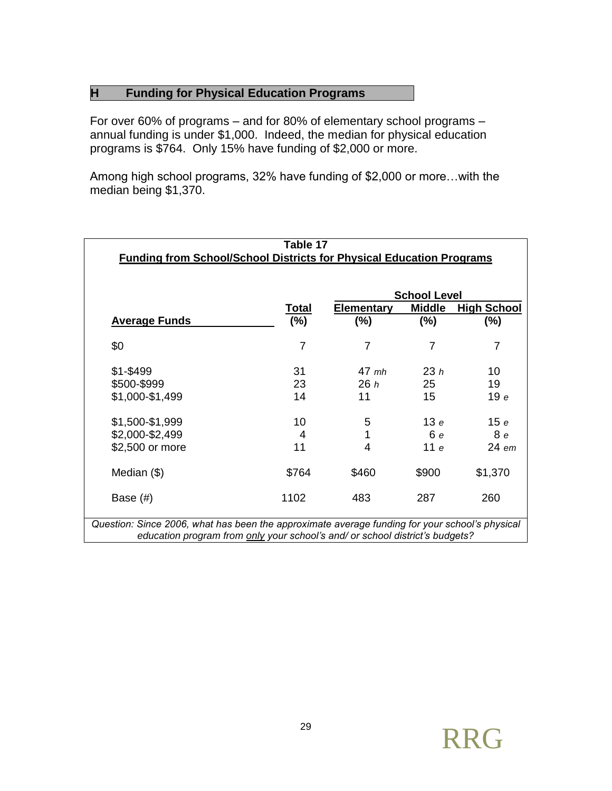#### **H Funding for Physical Education Programs**

For over 60% of programs – and for 80% of elementary school programs – annual funding is under \$1,000. Indeed, the median for physical education programs is \$764. Only 15% have funding of \$2,000 or more.

Among high school programs, 32% have funding of \$2,000 or more…with the median being \$1,370.

| Table 17<br><b>Funding from School/School Districts for Physical Education Programs</b> |        |                   |                     |                    |
|-----------------------------------------------------------------------------------------|--------|-------------------|---------------------|--------------------|
|                                                                                         |        |                   | <b>School Level</b> |                    |
|                                                                                         | Total  | <b>Elementary</b> | <b>Middle</b>       | <b>High School</b> |
| <b>Average Funds</b>                                                                    | $(\%)$ | $(\% )$           | (%)                 | $(\%)$             |
| \$0                                                                                     | 7      | 7                 | 7                   | $\overline{7}$     |
| $$1 - $499$                                                                             | 31     | $47$ mh           | 23h                 | 10                 |
| \$500-\$999                                                                             | 23     | 26h               | 25                  | 19                 |
| \$1,000-\$1,499                                                                         | 14     | 11                | 15                  | 19e                |
| \$1,500-\$1,999                                                                         | 10     | 5                 | 13e                 | 15e                |
| \$2,000-\$2,499                                                                         | 4      | 1                 | 6e                  | 8e                 |
| \$2,500 or more                                                                         | 11     | 4                 | 11e                 | $24$ em            |
| Median (\$)                                                                             | \$764  | \$460             | \$900               | \$1,370            |
| Base $(\#)$                                                                             | 1102   | 483               | 287                 | 260                |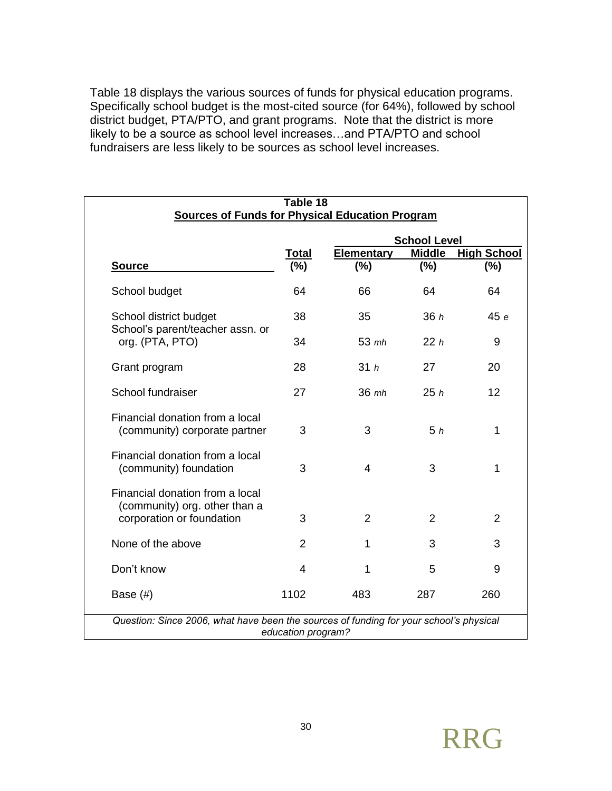Table 18 displays the various sources of funds for physical education programs. Specifically school budget is the most-cited source (for 64%), followed by school district budget, PTA/PTO, and grant programs. Note that the district is more likely to be a source as school level increases…and PTA/PTO and school fundraisers are less likely to be sources as school level increases.

| Table 18                                                                                      |                    |                     |                |                    |  |
|-----------------------------------------------------------------------------------------------|--------------------|---------------------|----------------|--------------------|--|
| <b>Sources of Funds for Physical Education Program</b>                                        |                    |                     |                |                    |  |
|                                                                                               |                    | <b>School Level</b> |                |                    |  |
|                                                                                               | Total              | <b>Elementary</b>   | <b>Middle</b>  | <b>High School</b> |  |
| <b>Source</b>                                                                                 | $(\%)$             | (%)                 | (%)            | (%)                |  |
| School budget                                                                                 | 64                 | 66                  | 64             | 64                 |  |
| School district budget<br>School's parent/teacher assn. or                                    | 38                 | 35                  | 36h            | 45 e               |  |
| org. (PTA, PTO)                                                                               | 34                 | $53$ mh             | 22h            | 9                  |  |
| Grant program                                                                                 | 28                 | 31h                 | 27             | 20                 |  |
| School fundraiser                                                                             | 27                 | 36 mh               | 25h            | 12                 |  |
| Financial donation from a local<br>(community) corporate partner                              | 3                  | 3                   | 5h             | 1                  |  |
| Financial donation from a local<br>(community) foundation                                     | 3                  | $\overline{4}$      | 3              | 1                  |  |
| Financial donation from a local<br>(community) org. other than a<br>corporation or foundation | 3                  | $\overline{2}$      | $\overline{2}$ | 2                  |  |
| None of the above                                                                             | $\overline{2}$     | 1                   | 3              | 3                  |  |
| Don't know                                                                                    | $\overline{4}$     | 1                   | 5              | 9                  |  |
| Base $(\#)$                                                                                   | 1102               | 483                 | 287            | 260                |  |
| Question: Since 2006, what have been the sources of funding for your school's physical        | education program? |                     |                |                    |  |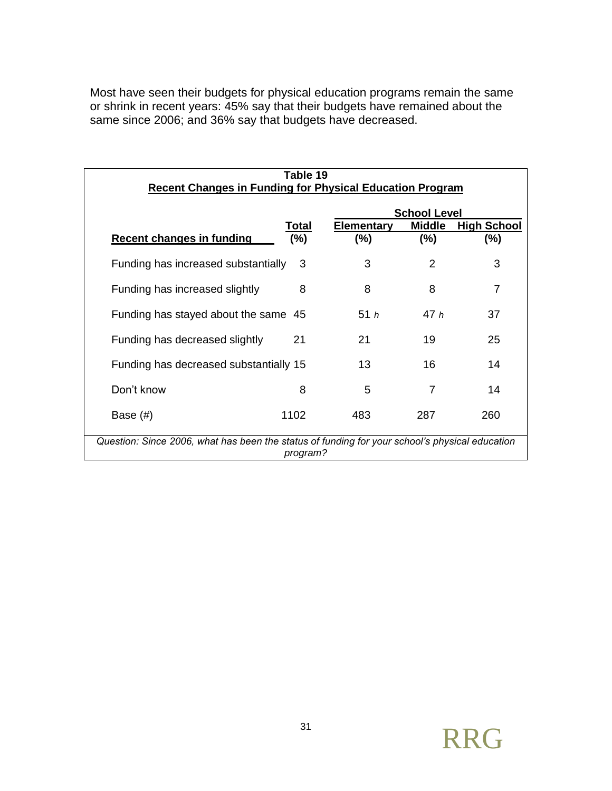Most have seen their budgets for physical education programs remain the same or shrink in recent years: 45% say that their budgets have remained about the same since 2006; and 36% say that budgets have decreased.

| Table 19<br><b>Recent Changes in Funding for Physical Education Program</b>              |                                                                                                            |        |        |     |  |
|------------------------------------------------------------------------------------------|------------------------------------------------------------------------------------------------------------|--------|--------|-----|--|
| <b>School Level</b><br><b>Elementary</b><br><b>Middle</b><br><b>High School</b><br>Total |                                                                                                            |        |        |     |  |
| <b>Recent changes in funding</b>                                                         | $(\%)$                                                                                                     | $(\%)$ | $(\%)$ | (%) |  |
| Funding has increased substantially                                                      | 3                                                                                                          | 3      | 2      | 3   |  |
| Funding has increased slightly                                                           | 8                                                                                                          | 8      | 8      | 7   |  |
| Funding has stayed about the same 45                                                     |                                                                                                            | 51h    | 47h    | 37  |  |
| Funding has decreased slightly                                                           | 21                                                                                                         | 21     | 19     | 25  |  |
| Funding has decreased substantially 15                                                   |                                                                                                            | 13     | 16     | 14  |  |
| Don't know                                                                               | 8                                                                                                          | 5      | 7      | 14  |  |
| Base $(\#)$                                                                              | 1102                                                                                                       | 483    | 287    | 260 |  |
|                                                                                          | Question: Since 2006, what has been the status of funding for your school's physical education<br>program? |        |        |     |  |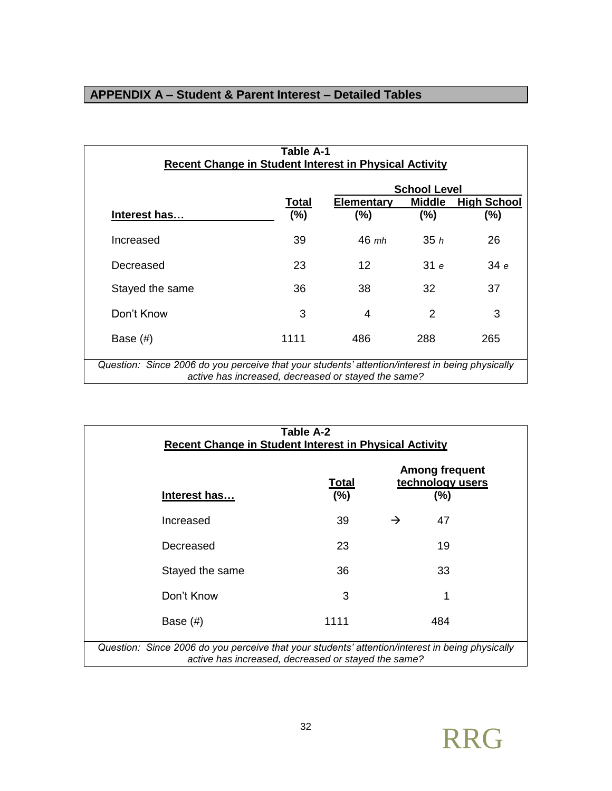# **APPENDIX A – Student & Parent Interest – Detailed Tables**

| Table A-1<br><b>Recent Change in Student Interest in Physical Activity</b>                                                                             |                 |                              |                     |                              |  |
|--------------------------------------------------------------------------------------------------------------------------------------------------------|-----------------|------------------------------|---------------------|------------------------------|--|
|                                                                                                                                                        |                 |                              | <b>School Level</b> |                              |  |
| Interest has                                                                                                                                           | Total<br>$(\%)$ | <b>Elementary</b><br>$(\% )$ | Middle<br>(%)       | <b>High School</b><br>$(\%)$ |  |
| Increased                                                                                                                                              | 39              | $46$ mh                      | 35h                 | 26                           |  |
| Decreased                                                                                                                                              | 23              | 12                           | 31e                 | 34 e                         |  |
| Stayed the same                                                                                                                                        | 36              | 38                           | 32                  | 37                           |  |
| Don't Know                                                                                                                                             | 3               | 4                            | 2                   | 3                            |  |
| Base $(\#)$                                                                                                                                            | 1111            | 486                          | 288                 | 265                          |  |
| Question: Since 2006 do you perceive that your students' attention/interest in being physically<br>active has increased, decreased or stayed the same? |                 |                              |                     |                              |  |

| Table A-2<br><b>Recent Change in Student Interest in Physical Activity</b>                                                                             |                        |               |                                                  |  |  |
|--------------------------------------------------------------------------------------------------------------------------------------------------------|------------------------|---------------|--------------------------------------------------|--|--|
| Interest has                                                                                                                                           | <b>Total</b><br>$(\%)$ |               | <b>Among frequent</b><br>technology users<br>(%) |  |  |
| Increased                                                                                                                                              | 39                     | $\rightarrow$ | 47                                               |  |  |
| Decreased                                                                                                                                              | 23                     |               | 19                                               |  |  |
| Stayed the same                                                                                                                                        | 36                     |               | 33                                               |  |  |
| Don't Know                                                                                                                                             | 3                      |               | 1                                                |  |  |
| 1111<br>484<br>Base $(\#)$                                                                                                                             |                        |               |                                                  |  |  |
| Question: Since 2006 do you perceive that your students' attention/interest in being physically<br>active has increased, decreased or stayed the same? |                        |               |                                                  |  |  |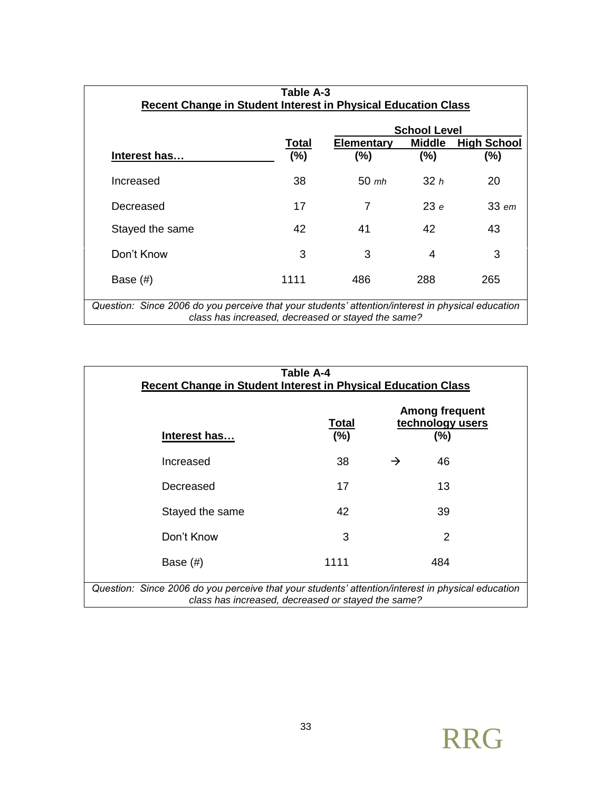| Table A-3                                                                                                                                               |         |                   |                     |                    |  |
|---------------------------------------------------------------------------------------------------------------------------------------------------------|---------|-------------------|---------------------|--------------------|--|
| Recent Change in Student Interest in Physical Education Class                                                                                           |         |                   |                     |                    |  |
|                                                                                                                                                         |         |                   | <b>School Level</b> |                    |  |
|                                                                                                                                                         | Total   | <b>Elementary</b> | <b>Middle</b>       | <b>High School</b> |  |
| Interest has                                                                                                                                            | $(\% )$ | $(\% )$           | (%)                 | (%)                |  |
| Increased                                                                                                                                               | 38      | $50 \;$ mh        | 32h                 | 20                 |  |
| Decreased                                                                                                                                               | 17      | 7                 | 23e                 | $33$ em            |  |
| Stayed the same                                                                                                                                         | 42      | 41                | 42                  | 43                 |  |
| Don't Know                                                                                                                                              | 3       | 3                 | 4                   | 3                  |  |
| Base $(\#)$                                                                                                                                             | 1111    | 486               | 288                 | 265                |  |
| Question: Since 2006 do you perceive that your students' attention/interest in physical education<br>class has increased, decreased or stayed the same? |         |                   |                     |                    |  |

| Table A-4<br>Recent Change in Student Interest in Physical Education Class                                                                              |                 |               |                                                  |  |  |
|---------------------------------------------------------------------------------------------------------------------------------------------------------|-----------------|---------------|--------------------------------------------------|--|--|
| Interest has                                                                                                                                            | Total<br>$(\%)$ |               | <b>Among frequent</b><br>technology users<br>(%) |  |  |
| Increased                                                                                                                                               | 38              | $\rightarrow$ | 46                                               |  |  |
| Decreased                                                                                                                                               | 17              |               | 13                                               |  |  |
| Stayed the same                                                                                                                                         | 42              |               | 39                                               |  |  |
| Don't Know                                                                                                                                              | 3               |               | 2                                                |  |  |
| 1111<br>484<br>Base $(\#)$                                                                                                                              |                 |               |                                                  |  |  |
| Question: Since 2006 do you perceive that your students' attention/interest in physical education<br>class has increased, decreased or stayed the same? |                 |               |                                                  |  |  |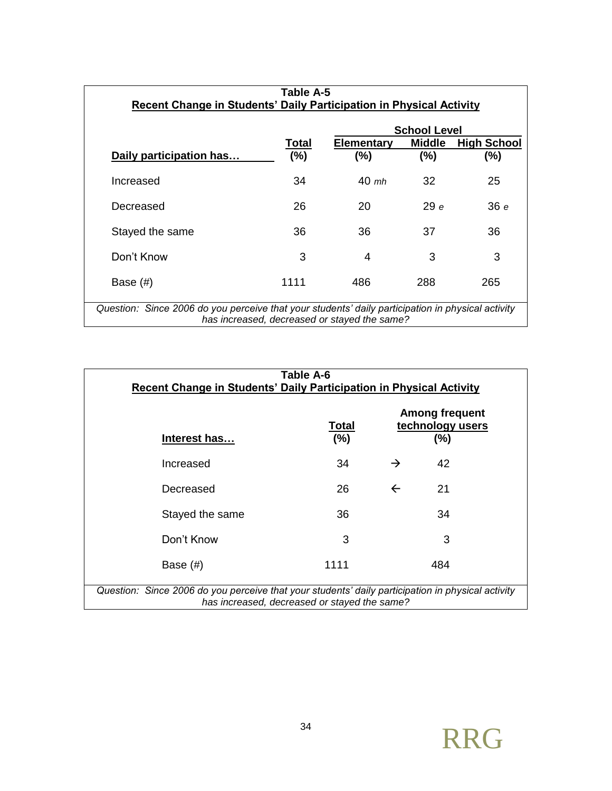| Table A-5                                                                                                                                         |        |                   |                     |                    |  |
|---------------------------------------------------------------------------------------------------------------------------------------------------|--------|-------------------|---------------------|--------------------|--|
| Recent Change in Students' Daily Participation in Physical Activity                                                                               |        |                   |                     |                    |  |
|                                                                                                                                                   |        |                   | <b>School Level</b> |                    |  |
|                                                                                                                                                   | Total  | Elementary        | <b>Middle</b>       | <b>High School</b> |  |
| Daily participation has                                                                                                                           | $(\%)$ | (%)               | (%)                 | $(\%)$             |  |
| Increased                                                                                                                                         | 34     | $40 \; \text{mb}$ | 32                  | 25                 |  |
| Decreased                                                                                                                                         | 26     | 20                | 29e                 | 36 e               |  |
| Stayed the same                                                                                                                                   | 36     | 36                | 37                  | 36                 |  |
| Don't Know                                                                                                                                        | 3      | 4                 | 3                   | 3                  |  |
| Base $(\#)$                                                                                                                                       | 1111   | 486               | 288                 | 265                |  |
| Question: Since 2006 do you perceive that your students' daily participation in physical activity<br>has increased, decreased or stayed the same? |        |                   |                     |                    |  |

| Table A-6<br>Recent Change in Students' Daily Participation in Physical Activity                                                                  |                 |               |                                                  |  |  |
|---------------------------------------------------------------------------------------------------------------------------------------------------|-----------------|---------------|--------------------------------------------------|--|--|
| Interest has                                                                                                                                      | Total<br>$(\%)$ |               | <b>Among frequent</b><br>technology users<br>(%) |  |  |
| Increased                                                                                                                                         | 34              | $\rightarrow$ | 42                                               |  |  |
| Decreased                                                                                                                                         | 26              | $\leftarrow$  | 21                                               |  |  |
| Stayed the same                                                                                                                                   | 36              |               | 34                                               |  |  |
| Don't Know                                                                                                                                        | 3               |               | 3                                                |  |  |
| 1111<br>484<br>Base $(\#)$                                                                                                                        |                 |               |                                                  |  |  |
| Question: Since 2006 do you perceive that your students' daily participation in physical activity<br>has increased, decreased or stayed the same? |                 |               |                                                  |  |  |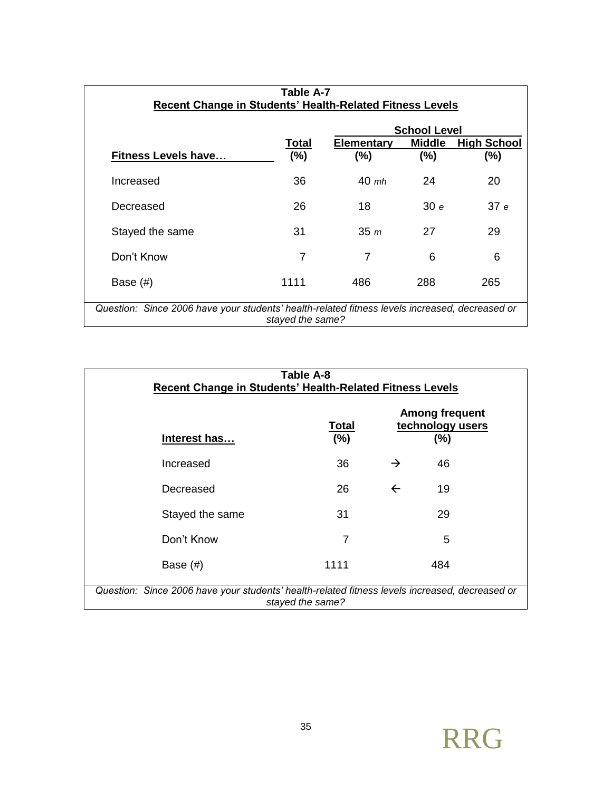| Table A-7                                                                                                          |        |                   |                     |                    |  |
|--------------------------------------------------------------------------------------------------------------------|--------|-------------------|---------------------|--------------------|--|
| Recent Change in Students' Health-Related Fitness Levels                                                           |        |                   |                     |                    |  |
|                                                                                                                    |        |                   | <b>School Level</b> |                    |  |
|                                                                                                                    | Total  | <b>Elementary</b> | <b>Middle</b>       | <b>High School</b> |  |
| <b>Fitness Levels have</b>                                                                                         | $(\%)$ | (%)               | (%)                 | $(\%)$             |  |
| Increased                                                                                                          | 36     | $40$ mh           | 24                  | 20                 |  |
| Decreased                                                                                                          | 26     | 18                | 30e                 | 37e                |  |
| Stayed the same                                                                                                    | 31     | 35 <sub>m</sub>   | 27                  | 29                 |  |
| Don't Know                                                                                                         | 7      | 7                 | 6                   | 6                  |  |
| Base $(\#)$                                                                                                        | 1111   | 486               | 288                 | 265                |  |
| Question: Since 2006 have your students' health-related fitness levels increased, decreased or<br>stayed the same? |        |                   |                     |                    |  |

| Table A-8<br>Recent Change in Students' Health-Related Fitness Levels                                              |    |               |    |  |  |
|--------------------------------------------------------------------------------------------------------------------|----|---------------|----|--|--|
| <b>Among frequent</b><br>technology users<br><u>Total</u><br>$(\%)$<br>(%)<br>Interest has                         |    |               |    |  |  |
| Increased                                                                                                          | 36 | $\rightarrow$ | 46 |  |  |
| Decreased                                                                                                          | 26 | $\leftarrow$  | 19 |  |  |
| Stayed the same                                                                                                    | 31 |               | 29 |  |  |
| Don't Know                                                                                                         | 7  |               | 5  |  |  |
| 1111<br>484<br>Base $(\#)$                                                                                         |    |               |    |  |  |
| Question: Since 2006 have your students' health-related fitness levels increased, decreased or<br>stayed the same? |    |               |    |  |  |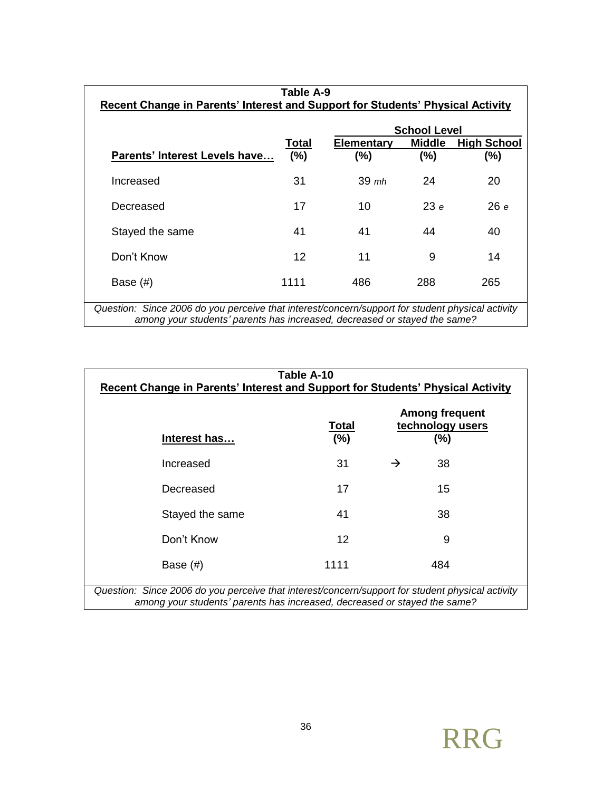| Table A-9                                                                                                                                                                     |         |            |                     |                    |  |
|-------------------------------------------------------------------------------------------------------------------------------------------------------------------------------|---------|------------|---------------------|--------------------|--|
| Recent Change in Parents' Interest and Support for Students' Physical Activity                                                                                                |         |            |                     |                    |  |
|                                                                                                                                                                               |         |            | <b>School Level</b> |                    |  |
|                                                                                                                                                                               | Total   | Elementary | <b>Middle</b>       | <b>High School</b> |  |
| <b>Parents' Interest Levels have</b>                                                                                                                                          | $(\% )$ | $(\% )$    | (%)                 | (%)                |  |
| Increased                                                                                                                                                                     | 31      | $39$ mh    | 24                  | 20                 |  |
| Decreased                                                                                                                                                                     | 17      | 10         | 23e                 | 26e                |  |
| Stayed the same                                                                                                                                                               | 41      | 41         | 44                  | 40                 |  |
| Don't Know                                                                                                                                                                    | 12      | 11         | 9                   | 14                 |  |
| Base $(\#)$                                                                                                                                                                   | 1111    | 486        | 288                 | 265                |  |
| Question: Since 2006 do you perceive that interest/concern/support for student physical activity<br>among your students' parents has increased, decreased or stayed the same? |         |            |                     |                    |  |

| Table A-10                                                                                       |                        |               |                                                     |  |
|--------------------------------------------------------------------------------------------------|------------------------|---------------|-----------------------------------------------------|--|
| <b>Recent Change in Parents' Interest and Support for Students' Physical Activity</b>            |                        |               |                                                     |  |
| Interest has                                                                                     | <u>Total</u><br>$(\%)$ |               | <b>Among frequent</b><br>technology users<br>$(\%)$ |  |
| Increased                                                                                        | 31                     | $\rightarrow$ | 38                                                  |  |
| Decreased                                                                                        | 17                     |               | 15                                                  |  |
| Stayed the same                                                                                  | 41                     |               | 38                                                  |  |
| Don't Know                                                                                       | 12                     |               | 9                                                   |  |
| Base (#)                                                                                         | 1111                   |               | 484                                                 |  |
| Question: Since 2006 do you perceive that interest/concern/support for student physical activity |                        |               |                                                     |  |

*among your students' parents has increased, decreased or stayed the same?*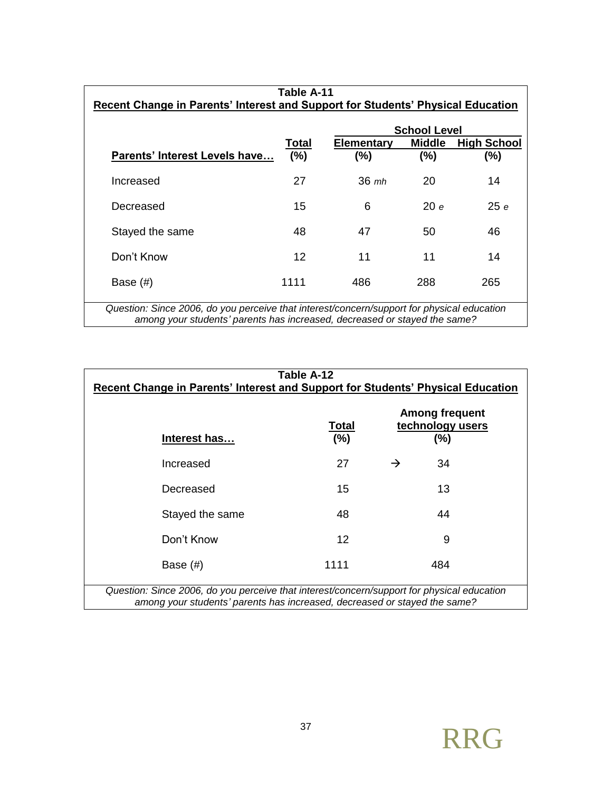| Table A-11                                                                                                                                                              |         |            |                     |                    |  |
|-------------------------------------------------------------------------------------------------------------------------------------------------------------------------|---------|------------|---------------------|--------------------|--|
| Recent Change in Parents' Interest and Support for Students' Physical Education                                                                                         |         |            |                     |                    |  |
|                                                                                                                                                                         |         |            | <b>School Level</b> |                    |  |
|                                                                                                                                                                         | Total   | Elementary | <b>Middle</b>       | <b>High School</b> |  |
| Parents' Interest Levels have                                                                                                                                           | (%)     | (%)        | (%)                 | $(\%)$             |  |
| Increased                                                                                                                                                               | 27      | $36 \; mb$ | 20                  | 14                 |  |
| Decreased                                                                                                                                                               | 15      | 6          | 20e                 | 25e                |  |
| Stayed the same                                                                                                                                                         | 48      | 47         | 50                  | 46                 |  |
| Don't Know                                                                                                                                                              | $12 \,$ | 11         | 11                  | 14                 |  |
| Base $(\#)$                                                                                                                                                             | 1111    | 486        | 288                 | 265                |  |
| Question: Since 2006, do you perceive that interest/concern/support for physical education<br>among your students' parents has increased, decreased or stayed the same? |         |            |                     |                    |  |

| Table A-12<br>Recent Change in Parents' Interest and Support for Students' Physical Education                                                                           |                        |               |                                                      |  |  |
|-------------------------------------------------------------------------------------------------------------------------------------------------------------------------|------------------------|---------------|------------------------------------------------------|--|--|
| Interest has                                                                                                                                                            | <u>Total</u><br>$(\%)$ |               | <b>Among frequent</b><br>technology users<br>$(\% )$ |  |  |
| Increased                                                                                                                                                               | 27                     | $\rightarrow$ | 34                                                   |  |  |
| Decreased                                                                                                                                                               | 15                     |               | 13                                                   |  |  |
| Stayed the same                                                                                                                                                         | 48                     |               | 44                                                   |  |  |
| Don't Know                                                                                                                                                              | 12                     |               | 9                                                    |  |  |
| 1111<br>484<br>Base $(\#)$                                                                                                                                              |                        |               |                                                      |  |  |
| Question: Since 2006, do you perceive that interest/concern/support for physical education<br>among your students' parents has increased, decreased or stayed the same? |                        |               |                                                      |  |  |